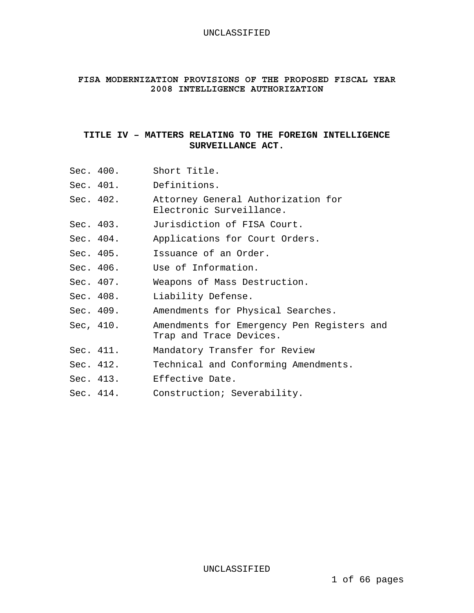### UNCLASSIFIED

# **FISA MODERNIZATION PROVISIONS OF THE PROPOSED FISCAL YEAR 2008 INTELLIGENCE AUTHORIZATION**

# **TITLE IV – MATTERS RELATING TO THE FOREIGN INTELLIGENCE SURVEILLANCE ACT.**

| Sec. 400. | Short Title.                                                          |
|-----------|-----------------------------------------------------------------------|
|           | Sec. 401. Definitions.                                                |
| Sec. 402. | Attorney General Authorization for<br>Electronic Surveillance.        |
| Sec. 403. | Jurisdiction of FISA Court.                                           |
| Sec. 404. | Applications for Court Orders.                                        |
| Sec. 405. | Issuance of an Order.                                                 |
| Sec. 406. | Use of Information.                                                   |
| Sec. 407. | Weapons of Mass Destruction.                                          |
| Sec. 408. | Liability Defense.                                                    |
| Sec. 409. | Amendments for Physical Searches.                                     |
| Sec, 410. | Amendments for Emergency Pen Registers and<br>Trap and Trace Devices. |
| Sec. 411. | Mandatory Transfer for Review                                         |
| Sec. 412. | Technical and Conforming Amendments.                                  |
|           | Sec. 413. Effective Date.                                             |
| Sec. 414. | Construction; Severability.                                           |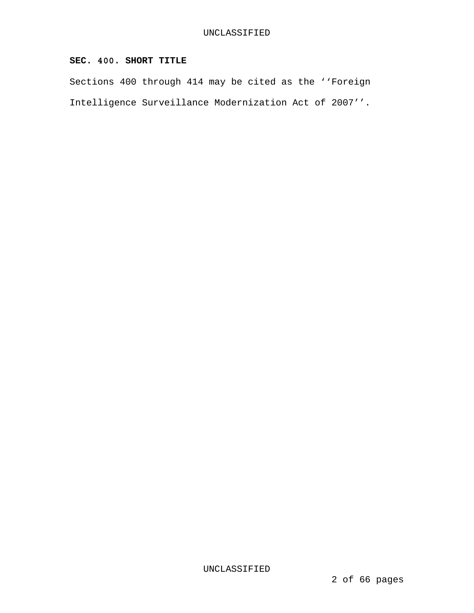# **SEC. 400. SHORT TITLE**

Sections 400 through 414 may be cited as the ''Foreign Intelligence Surveillance Modernization Act of 2007''.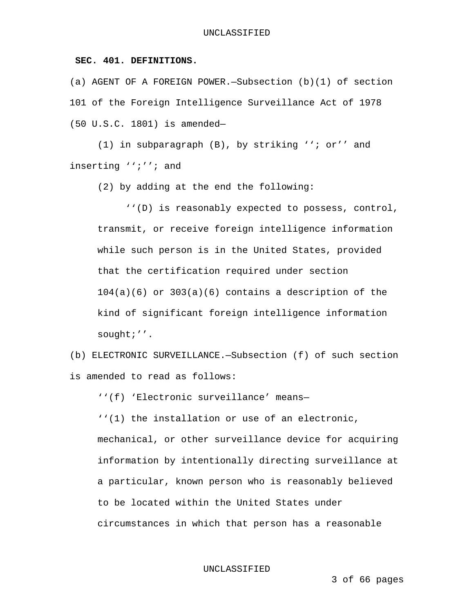## **SEC. 401. DEFINITIONS.**

(a) AGENT OF A FOREIGN POWER.—Subsection (b)(1) of section 101 of the Foreign Intelligence Surveillance Act of 1978 (50 U.S.C. 1801) is amended—

 (1) in subparagraph (B), by striking ''; or'' and inserting '';''; and

(2) by adding at the end the following:

 ''(D) is reasonably expected to possess, control, transmit, or receive foreign intelligence information while such person is in the United States, provided that the certification required under section  $104(a)(6)$  or  $303(a)(6)$  contains a description of the kind of significant foreign intelligence information sought;''.

(b) ELECTRONIC SURVEILLANCE.—Subsection (f) of such section is amended to read as follows:

''(f) 'Electronic surveillance' means—

''(1) the installation or use of an electronic, mechanical, or other surveillance device for acquiring information by intentionally directing surveillance at a particular, known person who is reasonably believed to be located within the United States under circumstances in which that person has a reasonable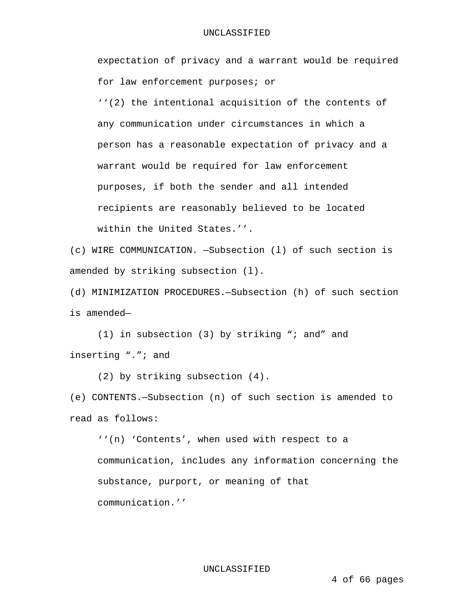### UNCLASSIFIED

expectation of privacy and a warrant would be required for law enforcement purposes; or ''(2) the intentional acquisition of the contents of any communication under circumstances in which a person has a reasonable expectation of privacy and a warrant would be required for law enforcement purposes, if both the sender and all intended recipients are reasonably believed to be located within the United States.''.

(c) WIRE COMMUNICATION. —Subsection (l) of such section is amended by striking subsection (l).

(d) MINIMIZATION PROCEDURES.—Subsection (h) of such section is amended—

 (1) in subsection (3) by striking "; and" and inserting "."; and

(2) by striking subsection (4).

(e) CONTENTS.—Subsection (n) of such section is amended to read as follows:

''(n) 'Contents', when used with respect to a communication, includes any information concerning the substance, purport, or meaning of that communication.''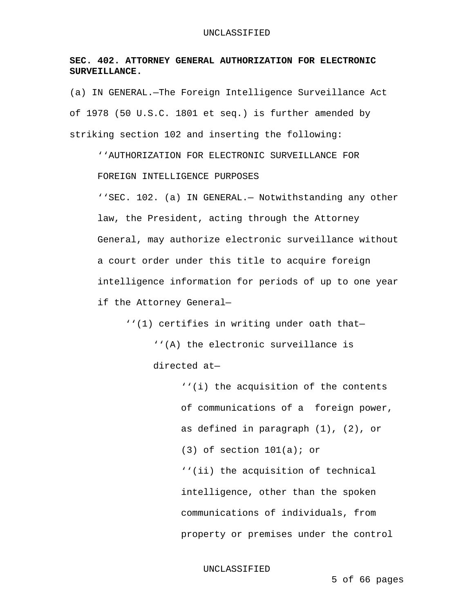# **SEC. 402. ATTORNEY GENERAL AUTHORIZATION FOR ELECTRONIC SURVEILLANCE.**

(a) IN GENERAL.—The Foreign Intelligence Surveillance Act of 1978 (50 U.S.C. 1801 et seq.) is further amended by striking section 102 and inserting the following:

''AUTHORIZATION FOR ELECTRONIC SURVEILLANCE FOR FOREIGN INTELLIGENCE PURPOSES

''SEC. 102. (a) IN GENERAL.— Notwithstanding any other law, the President, acting through the Attorney General, may authorize electronic surveillance without a court order under this title to acquire foreign intelligence information for periods of up to one year if the Attorney General—

''(1) certifies in writing under oath that—

''(A) the electronic surveillance is directed at—

> ''(i) the acquisition of the contents of communications of a foreign power, as defined in paragraph (1), (2), or  $(3)$  of section  $101(a)$ ; or ''(ii) the acquisition of technical intelligence, other than the spoken communications of individuals, from property or premises under the control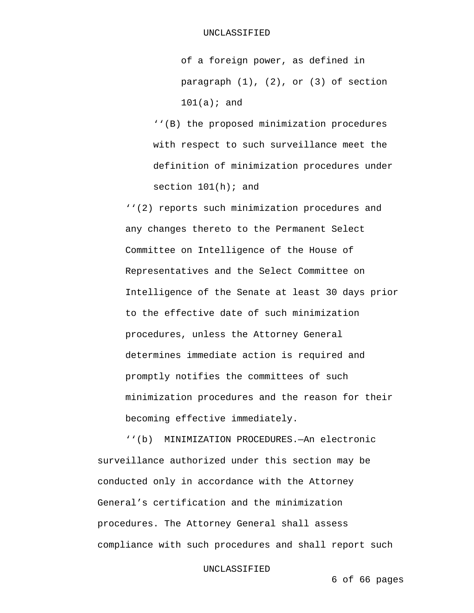of a foreign power, as defined in paragraph (1), (2), or (3) of section  $101(a);$  and

''(B) the proposed minimization procedures with respect to such surveillance meet the definition of minimization procedures under section  $101(h)$ ; and

''(2) reports such minimization procedures and any changes thereto to the Permanent Select Committee on Intelligence of the House of Representatives and the Select Committee on Intelligence of the Senate at least 30 days prior to the effective date of such minimization procedures, unless the Attorney General determines immediate action is required and promptly notifies the committees of such minimization procedures and the reason for their becoming effective immediately.

 ''(b) MINIMIZATION PROCEDURES.—An electronic surveillance authorized under this section may be conducted only in accordance with the Attorney General's certification and the minimization procedures. The Attorney General shall assess compliance with such procedures and shall report such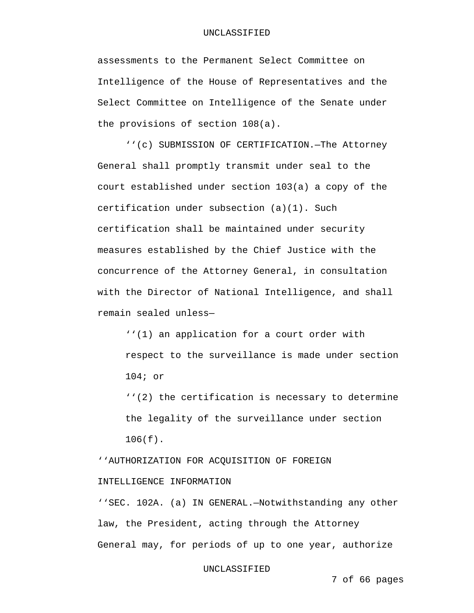### UNCLASSIFIED

assessments to the Permanent Select Committee on Intelligence of the House of Representatives and the Select Committee on Intelligence of the Senate under the provisions of section 108(a).

 ''(c) SUBMISSION OF CERTIFICATION.—The Attorney General shall promptly transmit under seal to the court established under section 103(a) a copy of the certification under subsection (a)(1). Such certification shall be maintained under security measures established by the Chief Justice with the concurrence of the Attorney General, in consultation with the Director of National Intelligence, and shall remain sealed unless—

''(1) an application for a court order with respect to the surveillance is made under section 104; or

''(2) the certification is necessary to determine the legality of the surveillance under section 106(f).

''AUTHORIZATION FOR ACQUISITION OF FOREIGN INTELLIGENCE INFORMATION

''SEC. 102A. (a) IN GENERAL.—Notwithstanding any other law, the President, acting through the Attorney General may, for periods of up to one year, authorize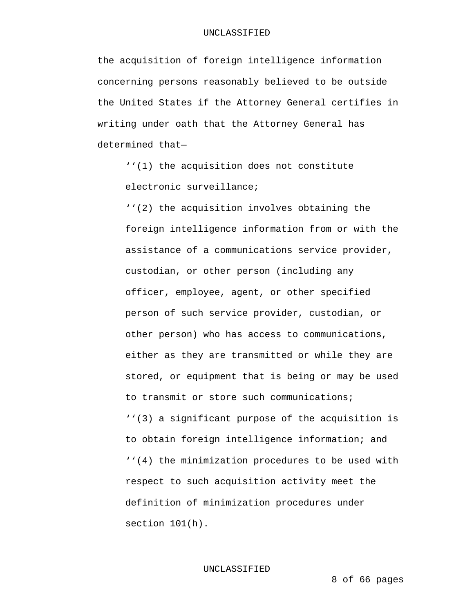the acquisition of foreign intelligence information concerning persons reasonably believed to be outside the United States if the Attorney General certifies in writing under oath that the Attorney General has determined that—

''(1) the acquisition does not constitute electronic surveillance;

''(2) the acquisition involves obtaining the foreign intelligence information from or with the assistance of a communications service provider, custodian, or other person (including any officer, employee, agent, or other specified person of such service provider, custodian, or other person) who has access to communications, either as they are transmitted or while they are stored, or equipment that is being or may be used to transmit or store such communications; ''(3) a significant purpose of the acquisition is to obtain foreign intelligence information; and ''(4) the minimization procedures to be used with respect to such acquisition activity meet the definition of minimization procedures under section 101(h).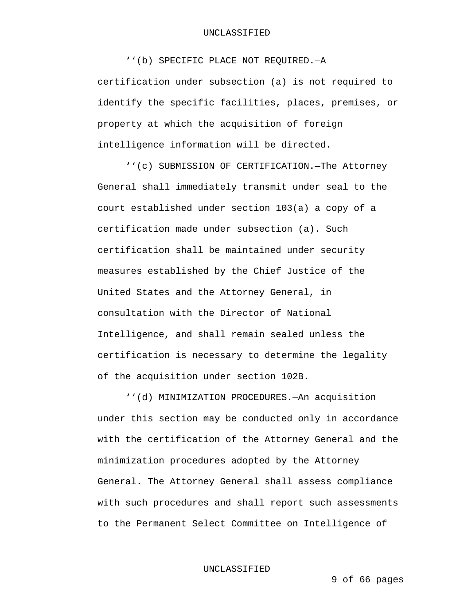#### UNCLASSIFIED

 ''(b) SPECIFIC PLACE NOT REQUIRED.—A certification under subsection (a) is not required to identify the specific facilities, places, premises, or property at which the acquisition of foreign intelligence information will be directed.

 ''(c) SUBMISSION OF CERTIFICATION.—The Attorney General shall immediately transmit under seal to the court established under section 103(a) a copy of a certification made under subsection (a). Such certification shall be maintained under security measures established by the Chief Justice of the United States and the Attorney General, in consultation with the Director of National Intelligence, and shall remain sealed unless the certification is necessary to determine the legality of the acquisition under section 102B.

 ''(d) MINIMIZATION PROCEDURES.—An acquisition under this section may be conducted only in accordance with the certification of the Attorney General and the minimization procedures adopted by the Attorney General. The Attorney General shall assess compliance with such procedures and shall report such assessments to the Permanent Select Committee on Intelligence of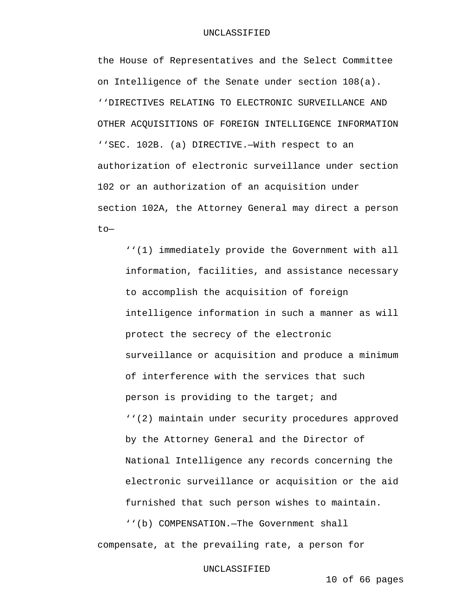the House of Representatives and the Select Committee on Intelligence of the Senate under section 108(a). ''DIRECTIVES RELATING TO ELECTRONIC SURVEILLANCE AND OTHER ACQUISITIONS OF FOREIGN INTELLIGENCE INFORMATION ''SEC. 102B. (a) DIRECTIVE.—With respect to an authorization of electronic surveillance under section 102 or an authorization of an acquisition under section 102A, the Attorney General may direct a person to—

''(1) immediately provide the Government with all information, facilities, and assistance necessary to accomplish the acquisition of foreign intelligence information in such a manner as will protect the secrecy of the electronic surveillance or acquisition and produce a minimum of interference with the services that such person is providing to the target; and ''(2) maintain under security procedures approved by the Attorney General and the Director of National Intelligence any records concerning the electronic surveillance or acquisition or the aid furnished that such person wishes to maintain.

 ''(b) COMPENSATION.—The Government shall compensate, at the prevailing rate, a person for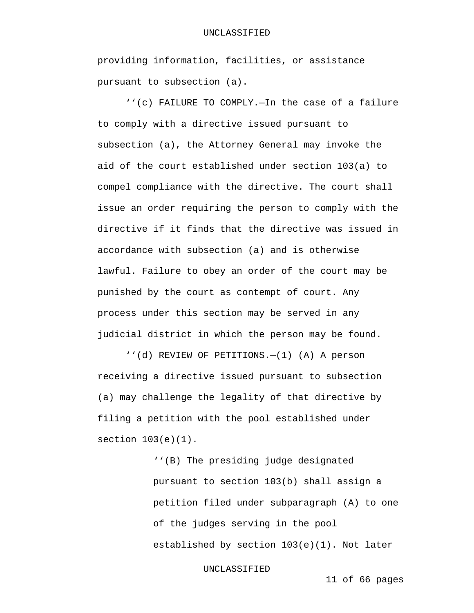providing information, facilities, or assistance pursuant to subsection (a).

 ''(c) FAILURE TO COMPLY.—In the case of a failure to comply with a directive issued pursuant to subsection (a), the Attorney General may invoke the aid of the court established under section 103(a) to compel compliance with the directive. The court shall issue an order requiring the person to comply with the directive if it finds that the directive was issued in accordance with subsection (a) and is otherwise lawful. Failure to obey an order of the court may be punished by the court as contempt of court. Any process under this section may be served in any judicial district in which the person may be found.

 ''(d) REVIEW OF PETITIONS.—(1) (A) A person receiving a directive issued pursuant to subsection (a) may challenge the legality of that directive by filing a petition with the pool established under section 103(e)(1).

> ''(B) The presiding judge designated pursuant to section 103(b) shall assign a petition filed under subparagraph (A) to one of the judges serving in the pool established by section 103(e)(1). Not later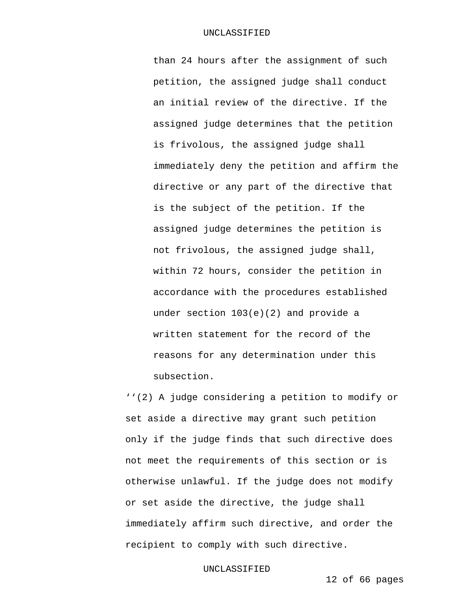than 24 hours after the assignment of such petition, the assigned judge shall conduct an initial review of the directive. If the assigned judge determines that the petition is frivolous, the assigned judge shall immediately deny the petition and affirm the directive or any part of the directive that is the subject of the petition. If the assigned judge determines the petition is not frivolous, the assigned judge shall, within 72 hours, consider the petition in accordance with the procedures established under section 103(e)(2) and provide a written statement for the record of the reasons for any determination under this subsection.

''(2) A judge considering a petition to modify or set aside a directive may grant such petition only if the judge finds that such directive does not meet the requirements of this section or is otherwise unlawful. If the judge does not modify or set aside the directive, the judge shall immediately affirm such directive, and order the recipient to comply with such directive.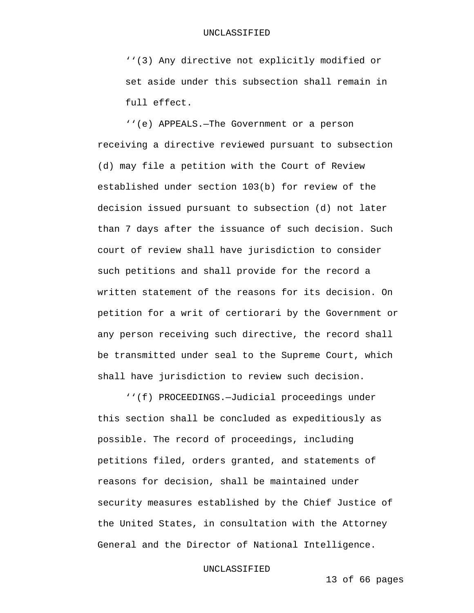''(3) Any directive not explicitly modified or set aside under this subsection shall remain in full effect.

 ''(e) APPEALS.—The Government or a person receiving a directive reviewed pursuant to subsection (d) may file a petition with the Court of Review established under section 103(b) for review of the decision issued pursuant to subsection (d) not later than 7 days after the issuance of such decision. Such court of review shall have jurisdiction to consider such petitions and shall provide for the record a written statement of the reasons for its decision. On petition for a writ of certiorari by the Government or any person receiving such directive, the record shall be transmitted under seal to the Supreme Court, which shall have jurisdiction to review such decision.

 ''(f) PROCEEDINGS.—Judicial proceedings under this section shall be concluded as expeditiously as possible. The record of proceedings, including petitions filed, orders granted, and statements of reasons for decision, shall be maintained under security measures established by the Chief Justice of the United States, in consultation with the Attorney General and the Director of National Intelligence.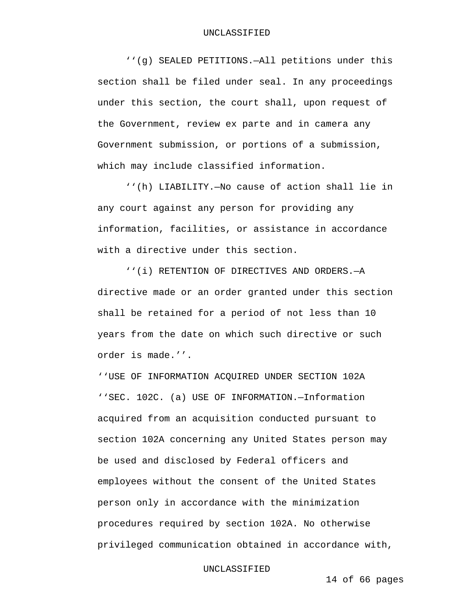''(g) SEALED PETITIONS.—All petitions under this section shall be filed under seal. In any proceedings under this section, the court shall, upon request of the Government, review ex parte and in camera any Government submission, or portions of a submission, which may include classified information.

 ''(h) LIABILITY.—No cause of action shall lie in any court against any person for providing any information, facilities, or assistance in accordance with a directive under this section.

 ''(i) RETENTION OF DIRECTIVES AND ORDERS.—A directive made or an order granted under this section shall be retained for a period of not less than 10 years from the date on which such directive or such order is made.''.

''USE OF INFORMATION ACQUIRED UNDER SECTION 102A ''SEC. 102C. (a) USE OF INFORMATION.—Information acquired from an acquisition conducted pursuant to section 102A concerning any United States person may be used and disclosed by Federal officers and employees without the consent of the United States person only in accordance with the minimization procedures required by section 102A. No otherwise privileged communication obtained in accordance with,

#### UNCLASSIFIED

14 of 66 pages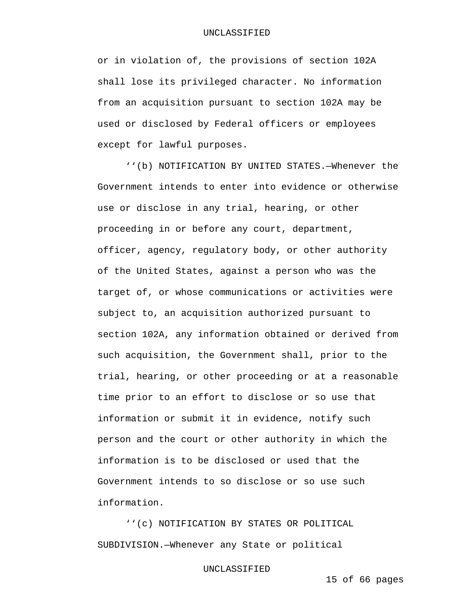or in violation of, the provisions of section 102A shall lose its privileged character. No information from an acquisition pursuant to section 102A may be used or disclosed by Federal officers or employees except for lawful purposes.

 ''(b) NOTIFICATION BY UNITED STATES.—Whenever the Government intends to enter into evidence or otherwise use or disclose in any trial, hearing, or other proceeding in or before any court, department, officer, agency, regulatory body, or other authority of the United States, against a person who was the target of, or whose communications or activities were subject to, an acquisition authorized pursuant to section 102A, any information obtained or derived from such acquisition, the Government shall, prior to the trial, hearing, or other proceeding or at a reasonable time prior to an effort to disclose or so use that information or submit it in evidence, notify such person and the court or other authority in which the information is to be disclosed or used that the Government intends to so disclose or so use such information.

 ''(c) NOTIFICATION BY STATES OR POLITICAL SUBDIVISION.—Whenever any State or political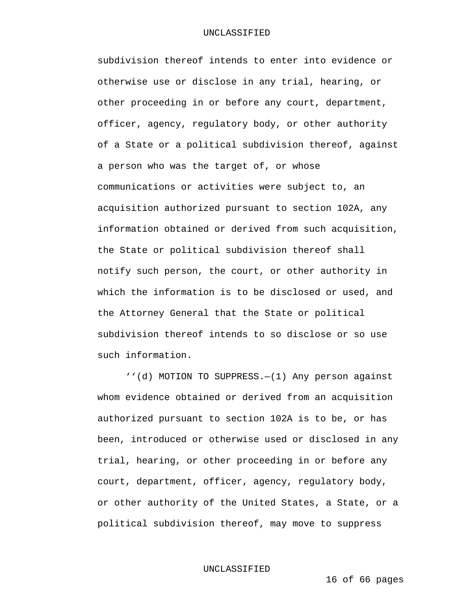subdivision thereof intends to enter into evidence or otherwise use or disclose in any trial, hearing, or other proceeding in or before any court, department, officer, agency, regulatory body, or other authority of a State or a political subdivision thereof, against a person who was the target of, or whose communications or activities were subject to, an acquisition authorized pursuant to section 102A, any information obtained or derived from such acquisition, the State or political subdivision thereof shall notify such person, the court, or other authority in which the information is to be disclosed or used, and the Attorney General that the State or political subdivision thereof intends to so disclose or so use such information.

 ''(d) MOTION TO SUPPRESS.—(1) Any person against whom evidence obtained or derived from an acquisition authorized pursuant to section 102A is to be, or has been, introduced or otherwise used or disclosed in any trial, hearing, or other proceeding in or before any court, department, officer, agency, regulatory body, or other authority of the United States, a State, or a political subdivision thereof, may move to suppress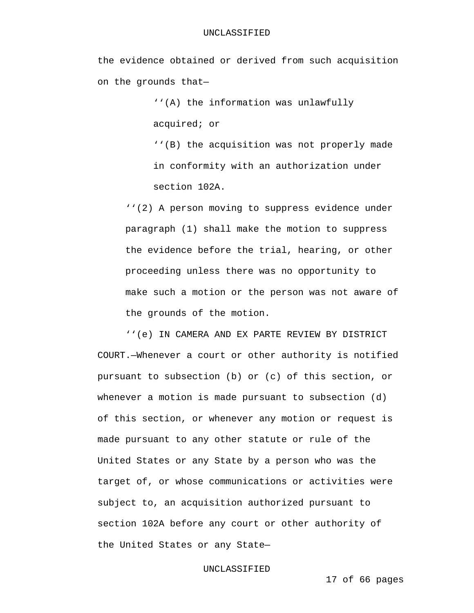### UNCLASSIFIED

the evidence obtained or derived from such acquisition on the grounds that—

> ''(A) the information was unlawfully acquired; or

''(B) the acquisition was not properly made in conformity with an authorization under section 102A.

''(2) A person moving to suppress evidence under paragraph (1) shall make the motion to suppress the evidence before the trial, hearing, or other proceeding unless there was no opportunity to make such a motion or the person was not aware of the grounds of the motion.

 ''(e) IN CAMERA AND EX PARTE REVIEW BY DISTRICT COURT.—Whenever a court or other authority is notified pursuant to subsection (b) or (c) of this section, or whenever a motion is made pursuant to subsection (d) of this section, or whenever any motion or request is made pursuant to any other statute or rule of the United States or any State by a person who was the target of, or whose communications or activities were subject to, an acquisition authorized pursuant to section 102A before any court or other authority of the United States or any State—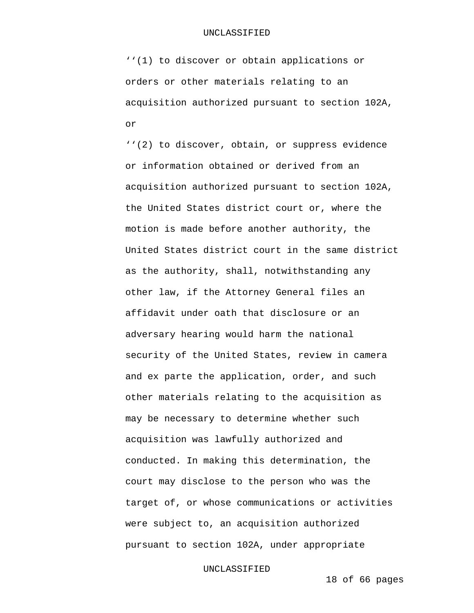''(1) to discover or obtain applications or orders or other materials relating to an acquisition authorized pursuant to section 102A, or

''(2) to discover, obtain, or suppress evidence or information obtained or derived from an acquisition authorized pursuant to section 102A, the United States district court or, where the motion is made before another authority, the United States district court in the same district as the authority, shall, notwithstanding any other law, if the Attorney General files an affidavit under oath that disclosure or an adversary hearing would harm the national security of the United States, review in camera and ex parte the application, order, and such other materials relating to the acquisition as may be necessary to determine whether such acquisition was lawfully authorized and conducted. In making this determination, the court may disclose to the person who was the target of, or whose communications or activities were subject to, an acquisition authorized pursuant to section 102A, under appropriate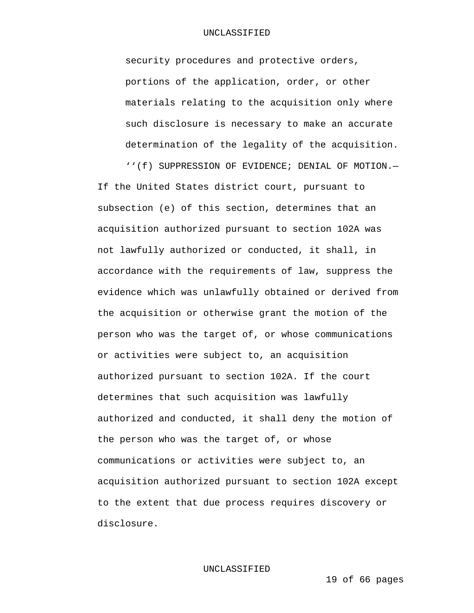security procedures and protective orders, portions of the application, order, or other materials relating to the acquisition only where such disclosure is necessary to make an accurate determination of the legality of the acquisition.

''(f) SUPPRESSION OF EVIDENCE; DENIAL OF MOTION.—

If the United States district court, pursuant to subsection (e) of this section, determines that an acquisition authorized pursuant to section 102A was not lawfully authorized or conducted, it shall, in accordance with the requirements of law, suppress the evidence which was unlawfully obtained or derived from the acquisition or otherwise grant the motion of the person who was the target of, or whose communications or activities were subject to, an acquisition authorized pursuant to section 102A. If the court determines that such acquisition was lawfully authorized and conducted, it shall deny the motion of the person who was the target of, or whose communications or activities were subject to, an acquisition authorized pursuant to section 102A except to the extent that due process requires discovery or disclosure.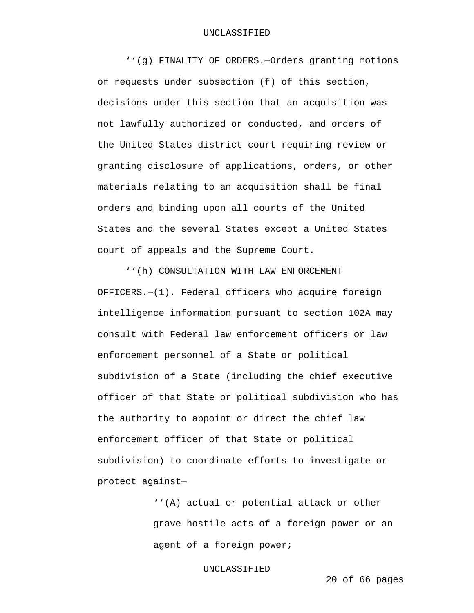''(g) FINALITY OF ORDERS.—Orders granting motions or requests under subsection (f) of this section, decisions under this section that an acquisition was not lawfully authorized or conducted, and orders of the United States district court requiring review or granting disclosure of applications, orders, or other materials relating to an acquisition shall be final orders and binding upon all courts of the United States and the several States except a United States court of appeals and the Supreme Court.

 ''(h) CONSULTATION WITH LAW ENFORCEMENT OFFICERS.—(1). Federal officers who acquire foreign intelligence information pursuant to section 102A may consult with Federal law enforcement officers or law enforcement personnel of a State or political subdivision of a State (including the chief executive officer of that State or political subdivision who has the authority to appoint or direct the chief law enforcement officer of that State or political subdivision) to coordinate efforts to investigate or protect against—

> ''(A) actual or potential attack or other grave hostile acts of a foreign power or an agent of a foreign power;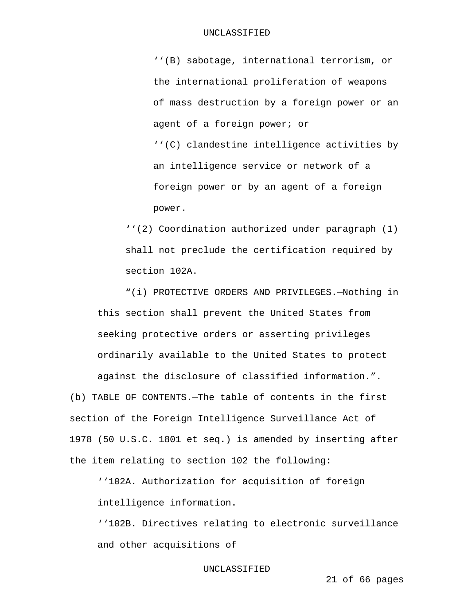''(B) sabotage, international terrorism, or the international proliferation of weapons of mass destruction by a foreign power or an agent of a foreign power; or ''(C) clandestine intelligence activities by an intelligence service or network of a foreign power or by an agent of a foreign power.

''(2) Coordination authorized under paragraph (1) shall not preclude the certification required by section 102A.

"(i) PROTECTIVE ORDERS AND PRIVILEGES.—Nothing in this section shall prevent the United States from seeking protective orders or asserting privileges ordinarily available to the United States to protect against the disclosure of classified information.".

(b) TABLE OF CONTENTS.—The table of contents in the first section of the Foreign Intelligence Surveillance Act of 1978 (50 U.S.C. 1801 et seq.) is amended by inserting after the item relating to section 102 the following:

''102A. Authorization for acquisition of foreign intelligence information.

''102B. Directives relating to electronic surveillance and other acquisitions of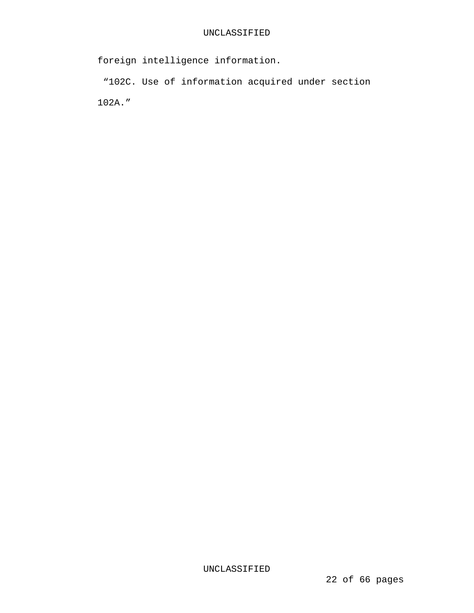foreign intelligence information.

 "102C. Use of information acquired under section 102A."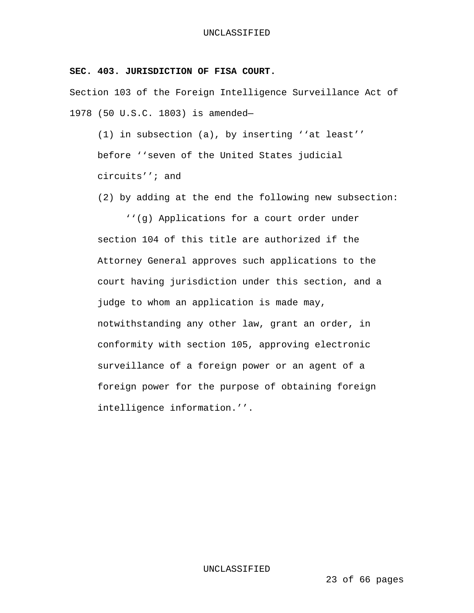## **SEC. 403. JURISDICTION OF FISA COURT.**

Section 103 of the Foreign Intelligence Surveillance Act of 1978 (50 U.S.C. 1803) is amended—

(1) in subsection (a), by inserting ''at least'' before ''seven of the United States judicial circuits''; and

(2) by adding at the end the following new subsection:

 ''(g) Applications for a court order under section 104 of this title are authorized if the Attorney General approves such applications to the court having jurisdiction under this section, and a judge to whom an application is made may, notwithstanding any other law, grant an order, in conformity with section 105, approving electronic surveillance of a foreign power or an agent of a foreign power for the purpose of obtaining foreign intelligence information.''.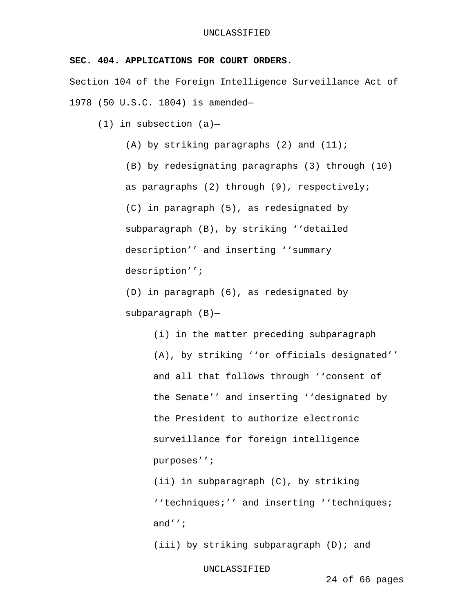# **SEC. 404. APPLICATIONS FOR COURT ORDERS.**

Section 104 of the Foreign Intelligence Surveillance Act of 1978 (50 U.S.C. 1804) is amended—

 $(1)$  in subsection  $(a)$ -

(A) by striking paragraphs  $(2)$  and  $(11)$ ;

(B) by redesignating paragraphs (3) through (10) as paragraphs (2) through (9), respectively; (C) in paragraph (5), as redesignated by subparagraph (B), by striking ''detailed description'' and inserting ''summary description'';

(D) in paragraph (6), as redesignated by subparagraph (B)—

> (i) in the matter preceding subparagraph (A), by striking ''or officials designated'' and all that follows through ''consent of the Senate'' and inserting ''designated by the President to authorize electronic surveillance for foreign intelligence purposes'';

(ii) in subparagraph (C), by striking ''techniques;'' and inserting ''techniques; and'';

(iii) by striking subparagraph (D); and

UNCLASSIFIED

24 of 66 pages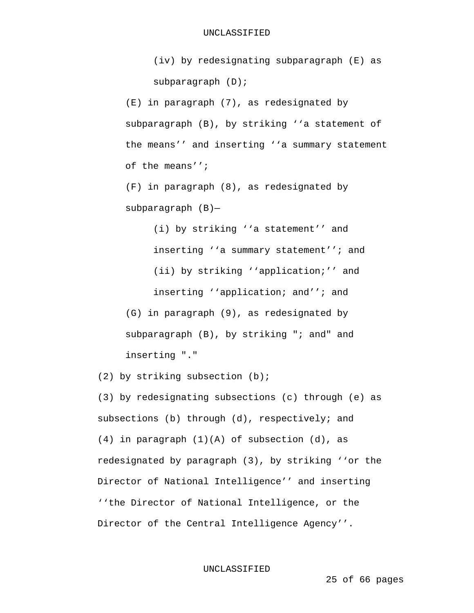(iv) by redesignating subparagraph (E) as subparagraph (D);

(E) in paragraph (7), as redesignated by subparagraph (B), by striking ''a statement of the means'' and inserting ''a summary statement of the means'';

(F) in paragraph (8), as redesignated by subparagraph (B)—

> (i) by striking ''a statement'' and inserting ''a summary statement''; and (ii) by striking ''application;'' and inserting ''application; and''; and

(G) in paragraph (9), as redesignated by subparagraph (B), by striking "; and" and inserting "."

(2) by striking subsection (b);

(3) by redesignating subsections (c) through (e) as subsections (b) through (d), respectively; and (4) in paragraph (1)(A) of subsection (d), as redesignated by paragraph (3), by striking ''or the Director of National Intelligence'' and inserting ''the Director of National Intelligence, or the Director of the Central Intelligence Agency''.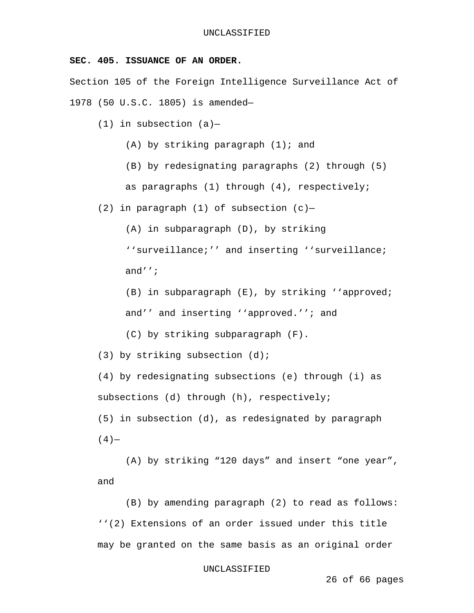## **SEC. 405. ISSUANCE OF AN ORDER.**

Section 105 of the Foreign Intelligence Surveillance Act of 1978 (50 U.S.C. 1805) is amended—

(1) in subsection  $(a)$ -

 $(A)$  by striking paragraph  $(1)$ ; and

(B) by redesignating paragraphs (2) through (5) as paragraphs (1) through (4), respectively;

(2) in paragraph (1) of subsection  $(c)$ -

(A) in subparagraph (D), by striking

''surveillance;'' and inserting ''surveillance; and'';

(B) in subparagraph (E), by striking ''approved; and'' and inserting ''approved.''; and

(C) by striking subparagraph (F).

(3) by striking subsection (d);

(4) by redesignating subsections (e) through (i) as subsections (d) through (h), respectively;

(5) in subsection (d), as redesignated by paragraph  $(4)$ —

 (A) by striking "120 days" and insert "one year", and

 (B) by amending paragraph (2) to read as follows: ''(2) Extensions of an order issued under this title may be granted on the same basis as an original order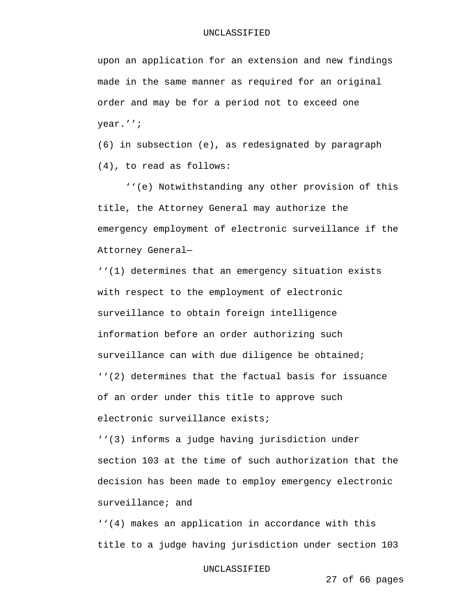upon an application for an extension and new findings made in the same manner as required for an original order and may be for a period not to exceed one year.'';

(6) in subsection (e), as redesignated by paragraph (4), to read as follows:

 ''(e) Notwithstanding any other provision of this title, the Attorney General may authorize the emergency employment of electronic surveillance if the Attorney General—

''(1) determines that an emergency situation exists with respect to the employment of electronic surveillance to obtain foreign intelligence information before an order authorizing such surveillance can with due diligence be obtained; ''(2) determines that the factual basis for issuance of an order under this title to approve such electronic surveillance exists;

''(3) informs a judge having jurisdiction under section 103 at the time of such authorization that the decision has been made to employ emergency electronic surveillance; and

''(4) makes an application in accordance with this title to a judge having jurisdiction under section 103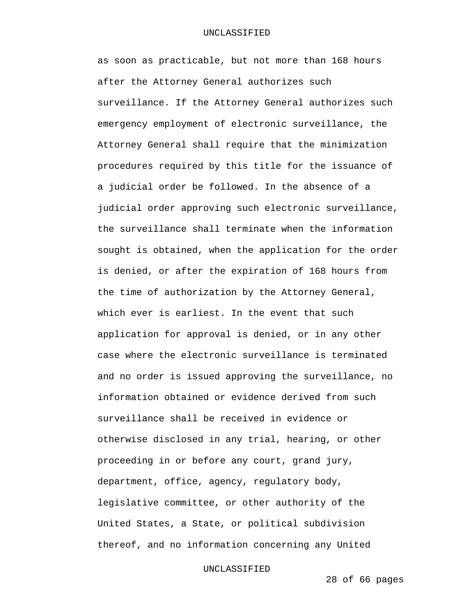as soon as practicable, but not more than 168 hours after the Attorney General authorizes such surveillance. If the Attorney General authorizes such emergency employment of electronic surveillance, the Attorney General shall require that the minimization procedures required by this title for the issuance of a judicial order be followed. In the absence of a judicial order approving such electronic surveillance, the surveillance shall terminate when the information sought is obtained, when the application for the order is denied, or after the expiration of 168 hours from the time of authorization by the Attorney General, which ever is earliest. In the event that such application for approval is denied, or in any other case where the electronic surveillance is terminated and no order is issued approving the surveillance, no information obtained or evidence derived from such surveillance shall be received in evidence or otherwise disclosed in any trial, hearing, or other proceeding in or before any court, grand jury, department, office, agency, regulatory body, legislative committee, or other authority of the United States, a State, or political subdivision thereof, and no information concerning any United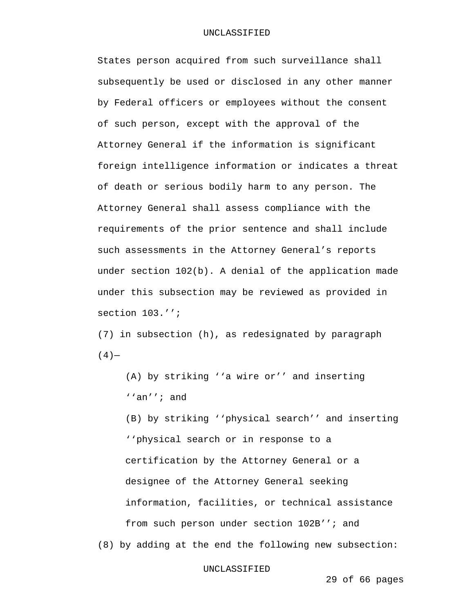States person acquired from such surveillance shall subsequently be used or disclosed in any other manner by Federal officers or employees without the consent of such person, except with the approval of the Attorney General if the information is significant foreign intelligence information or indicates a threat of death or serious bodily harm to any person. The Attorney General shall assess compliance with the requirements of the prior sentence and shall include such assessments in the Attorney General's reports under section 102(b). A denial of the application made under this subsection may be reviewed as provided in section 103.'';

(7) in subsection (h), as redesignated by paragraph  $(4)$ —

(A) by striking ''a wire or'' and inserting ''an''; and

(B) by striking ''physical search'' and inserting ''physical search or in response to a certification by the Attorney General or a designee of the Attorney General seeking information, facilities, or technical assistance from such person under section 102B''; and

(8) by adding at the end the following new subsection:

### UNCLASSIFIED

29 of 66 pages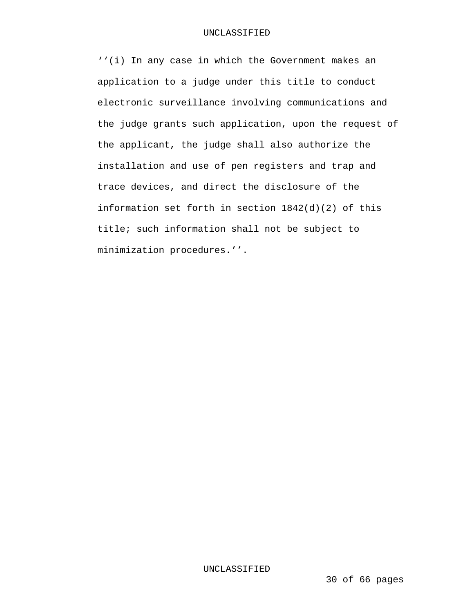''(i) In any case in which the Government makes an application to a judge under this title to conduct electronic surveillance involving communications and the judge grants such application, upon the request of the applicant, the judge shall also authorize the installation and use of pen registers and trap and trace devices, and direct the disclosure of the information set forth in section 1842(d)(2) of this title; such information shall not be subject to minimization procedures.''.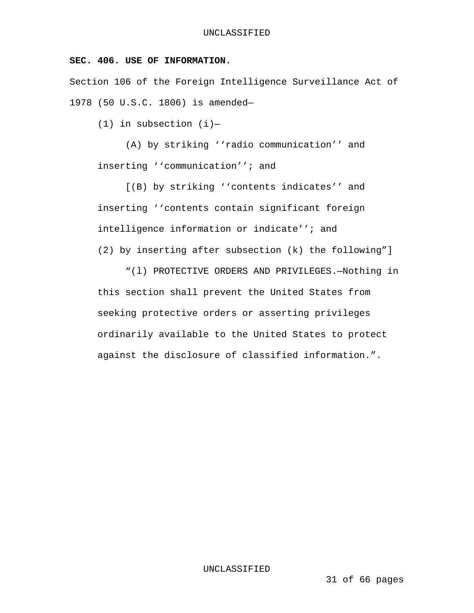# **SEC. 406. USE OF INFORMATION.**

Section 106 of the Foreign Intelligence Surveillance Act of 1978 (50 U.S.C. 1806) is amended—

(1) in subsection (i)—

 (A) by striking ''radio communication'' and inserting ''communication''; and

 [(B) by striking ''contents indicates'' and inserting ''contents contain significant foreign intelligence information or indicate''; and (2) by inserting after subsection (k) the following"]

 "(l) PROTECTIVE ORDERS AND PRIVILEGES.—Nothing in this section shall prevent the United States from seeking protective orders or asserting privileges ordinarily available to the United States to protect against the disclosure of classified information.".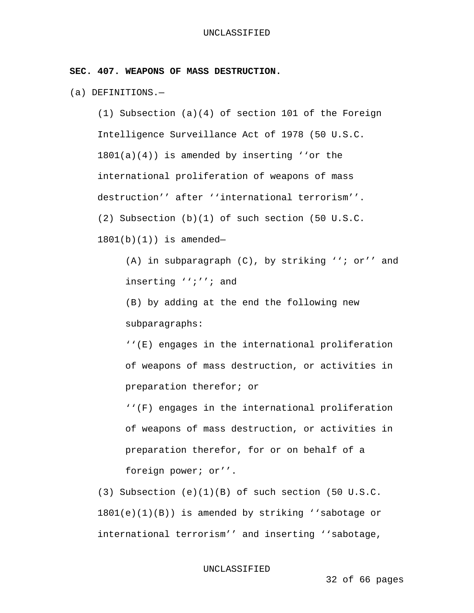**SEC. 407. WEAPONS OF MASS DESTRUCTION.** 

(a) DEFINITIONS.—

(1) Subsection (a)(4) of section 101 of the Foreign Intelligence Surveillance Act of 1978 (50 U.S.C. 1801(a)(4)) is amended by inserting ''or the international proliferation of weapons of mass destruction'' after ''international terrorism''. (2) Subsection (b)(1) of such section (50 U.S.C.

1801(b)(1)) is amended—

(A) in subparagraph (C), by striking ''; or'' and inserting '';''; and

(B) by adding at the end the following new subparagraphs:

''(E) engages in the international proliferation of weapons of mass destruction, or activities in preparation therefor; or

''(F) engages in the international proliferation of weapons of mass destruction, or activities in preparation therefor, for or on behalf of a foreign power; or''.

(3) Subsection (e)(1)(B) of such section (50 U.S.C. 1801(e)(1)(B)) is amended by striking ''sabotage or international terrorism'' and inserting ''sabotage,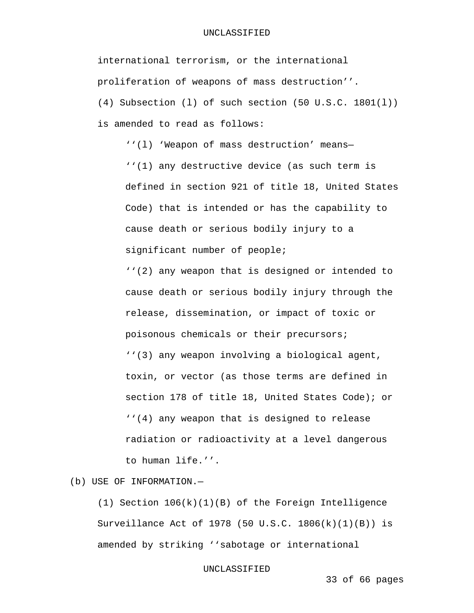### UNCLASSIFIED

international terrorism, or the international proliferation of weapons of mass destruction''.

(4) Subsection (l) of such section (50 U.S.C. 1801(l)) is amended to read as follows:

''(l) 'Weapon of mass destruction' means—

''(1) any destructive device (as such term is defined in section 921 of title 18, United States Code) that is intended or has the capability to cause death or serious bodily injury to a significant number of people;

''(2) any weapon that is designed or intended to cause death or serious bodily injury through the release, dissemination, or impact of toxic or poisonous chemicals or their precursors; ''(3) any weapon involving a biological agent, toxin, or vector (as those terms are defined in section 178 of title 18, United States Code); or ''(4) any weapon that is designed to release radiation or radioactivity at a level dangerous to human life.''.

(b) USE OF INFORMATION.—

(1) Section 106(k)(1)(B) of the Foreign Intelligence Surveillance Act of 1978 (50 U.S.C. 1806(k)(1)(B)) is amended by striking ''sabotage or international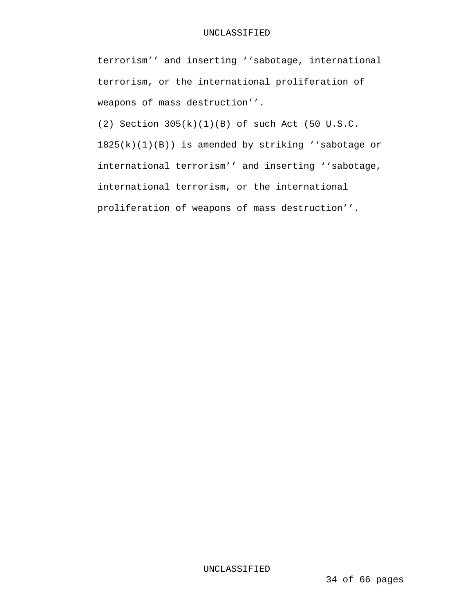### UNCLASSIFIED

terrorism'' and inserting ''sabotage, international terrorism, or the international proliferation of weapons of mass destruction''.

(2) Section 305(k)(1)(B) of such Act (50 U.S.C. 1825(k)(1)(B)) is amended by striking ''sabotage or international terrorism'' and inserting ''sabotage, international terrorism, or the international proliferation of weapons of mass destruction''.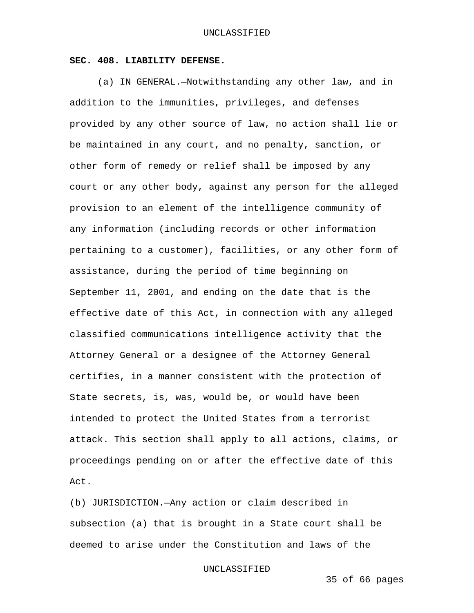## **SEC. 408. LIABILITY DEFENSE.**

 (a) IN GENERAL.—Notwithstanding any other law, and in addition to the immunities, privileges, and defenses provided by any other source of law, no action shall lie or be maintained in any court, and no penalty, sanction, or other form of remedy or relief shall be imposed by any court or any other body, against any person for the alleged provision to an element of the intelligence community of any information (including records or other information pertaining to a customer), facilities, or any other form of assistance, during the period of time beginning on September 11, 2001, and ending on the date that is the effective date of this Act, in connection with any alleged classified communications intelligence activity that the Attorney General or a designee of the Attorney General certifies, in a manner consistent with the protection of State secrets, is, was, would be, or would have been intended to protect the United States from a terrorist attack. This section shall apply to all actions, claims, or proceedings pending on or after the effective date of this Act.

(b) JURISDICTION.—Any action or claim described in subsection (a) that is brought in a State court shall be deemed to arise under the Constitution and laws of the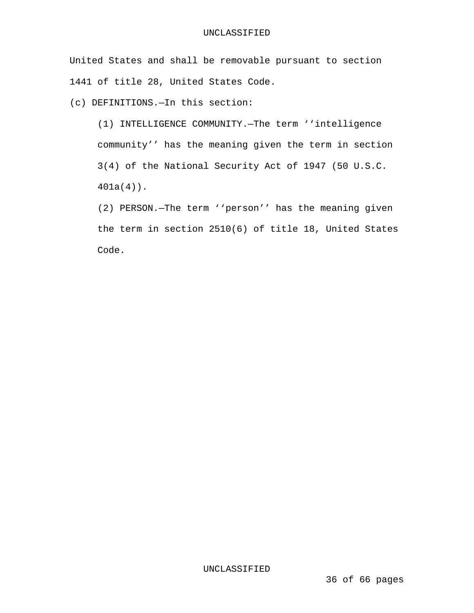United States and shall be removable pursuant to section 1441 of title 28, United States Code.

(c) DEFINITIONS.—In this section:

(1) INTELLIGENCE COMMUNITY.—The term ''intelligence community'' has the meaning given the term in section 3(4) of the National Security Act of 1947 (50 U.S.C. 401a(4)).

(2) PERSON.—The term ''person'' has the meaning given the term in section 2510(6) of title 18, United States Code.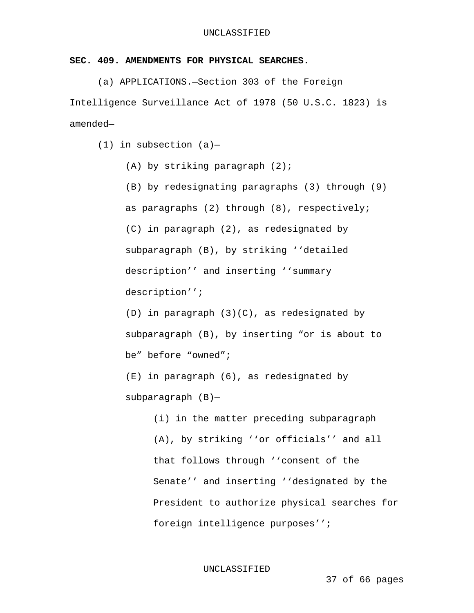# **SEC. 409. AMENDMENTS FOR PHYSICAL SEARCHES.**

 (a) APPLICATIONS.—Section 303 of the Foreign Intelligence Surveillance Act of 1978 (50 U.S.C. 1823) is amended—

 $(1)$  in subsection  $(a)$ -

(A) by striking paragraph (2);

(B) by redesignating paragraphs (3) through (9) as paragraphs (2) through (8), respectively; (C) in paragraph (2), as redesignated by subparagraph (B), by striking ''detailed description'' and inserting ''summary description'';

(D) in paragraph (3)(C), as redesignated by subparagraph (B), by inserting "or is about to be" before "owned";

(E) in paragraph (6), as redesignated by subparagraph (B)—

> (i) in the matter preceding subparagraph (A), by striking ''or officials'' and all that follows through ''consent of the Senate'' and inserting ''designated by the President to authorize physical searches for foreign intelligence purposes'';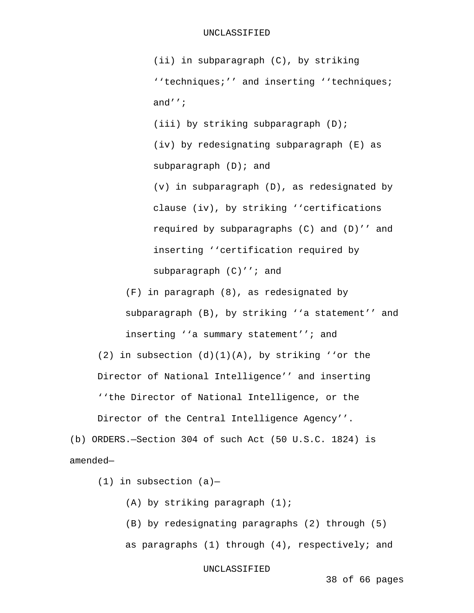(ii) in subparagraph (C), by striking ''techniques;'' and inserting ''techniques; and'';

(iii) by striking subparagraph (D); (iv) by redesignating subparagraph (E) as subparagraph (D); and (v) in subparagraph (D), as redesignated by

clause (iv), by striking ''certifications required by subparagraphs (C) and (D)'' and inserting ''certification required by subparagraph (C)''; and

(F) in paragraph (8), as redesignated by subparagraph (B), by striking ''a statement'' and inserting ''a summary statement''; and

(2) in subsection  $(d)(1)(A)$ , by striking ''or the Director of National Intelligence'' and inserting ''the Director of National Intelligence, or the Director of the Central Intelligence Agency''.

(b) ORDERS.—Section 304 of such Act (50 U.S.C. 1824) is amended—

 $(1)$  in subsection  $(a)$ -

(A) by striking paragraph (1);

(B) by redesignating paragraphs (2) through (5) as paragraphs (1) through (4), respectively; and

UNCLASSIFIED

38 of 66 pages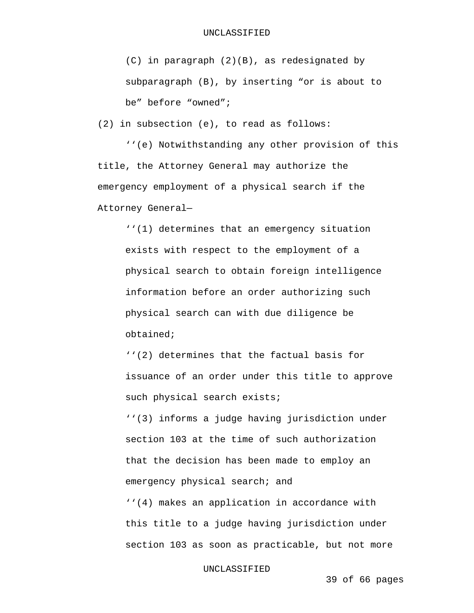(C) in paragraph (2)(B), as redesignated by subparagraph (B), by inserting "or is about to be" before "owned";

(2) in subsection (e), to read as follows:

 ''(e) Notwithstanding any other provision of this title, the Attorney General may authorize the emergency employment of a physical search if the Attorney General—

''(1) determines that an emergency situation exists with respect to the employment of a physical search to obtain foreign intelligence information before an order authorizing such physical search can with due diligence be obtained;

''(2) determines that the factual basis for issuance of an order under this title to approve such physical search exists; ''(3) informs a judge having jurisdiction under section 103 at the time of such authorization that the decision has been made to employ an emergency physical search; and ''(4) makes an application in accordance with this title to a judge having jurisdiction under section 103 as soon as practicable, but not more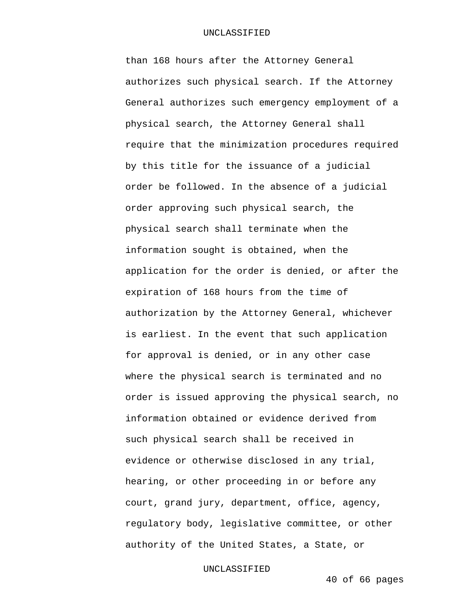### UNCLASSIFIED

than 168 hours after the Attorney General authorizes such physical search. If the Attorney General authorizes such emergency employment of a physical search, the Attorney General shall require that the minimization procedures required by this title for the issuance of a judicial order be followed. In the absence of a judicial order approving such physical search, the physical search shall terminate when the information sought is obtained, when the application for the order is denied, or after the expiration of 168 hours from the time of authorization by the Attorney General, whichever is earliest. In the event that such application for approval is denied, or in any other case where the physical search is terminated and no order is issued approving the physical search, no information obtained or evidence derived from such physical search shall be received in evidence or otherwise disclosed in any trial, hearing, or other proceeding in or before any court, grand jury, department, office, agency, regulatory body, legislative committee, or other authority of the United States, a State, or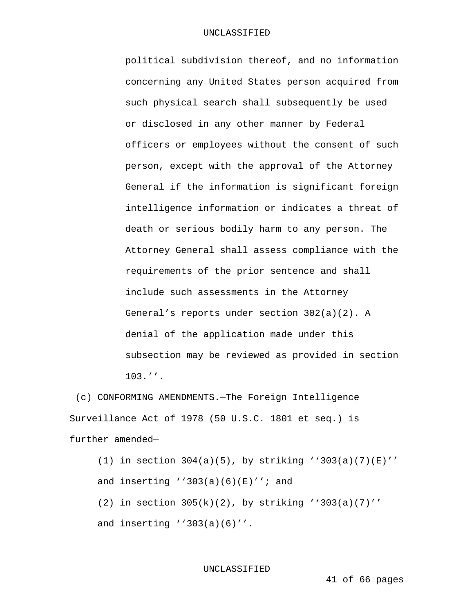political subdivision thereof, and no information concerning any United States person acquired from such physical search shall subsequently be used or disclosed in any other manner by Federal officers or employees without the consent of such person, except with the approval of the Attorney General if the information is significant foreign intelligence information or indicates a threat of death or serious bodily harm to any person. The Attorney General shall assess compliance with the requirements of the prior sentence and shall include such assessments in the Attorney General's reports under section 302(a)(2). A denial of the application made under this subsection may be reviewed as provided in section 103.''.

 (c) CONFORMING AMENDMENTS.—The Foreign Intelligence Surveillance Act of 1978 (50 U.S.C. 1801 et seq.) is further amended—

(1) in section  $304(a)(5)$ , by striking ''303(a)(7)(E)'' and inserting ''303(a)(6)(E)''; and (2) in section  $305(k)(2)$ , by striking ''303(a)(7)'' and inserting ''303(a)(6)''.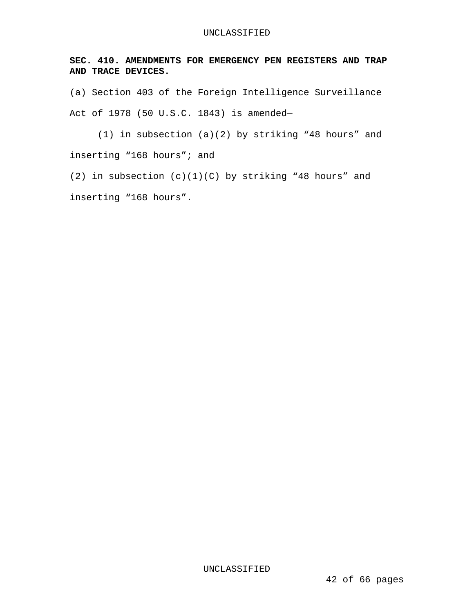**SEC. 410. AMENDMENTS FOR EMERGENCY PEN REGISTERS AND TRAP AND TRACE DEVICES.** 

(a) Section 403 of the Foreign Intelligence Surveillance Act of 1978 (50 U.S.C. 1843) is amended—

 (1) in subsection (a)(2) by striking "48 hours" and inserting "168 hours"; and

(2) in subsection  $(c)(1)(C)$  by striking "48 hours" and inserting "168 hours".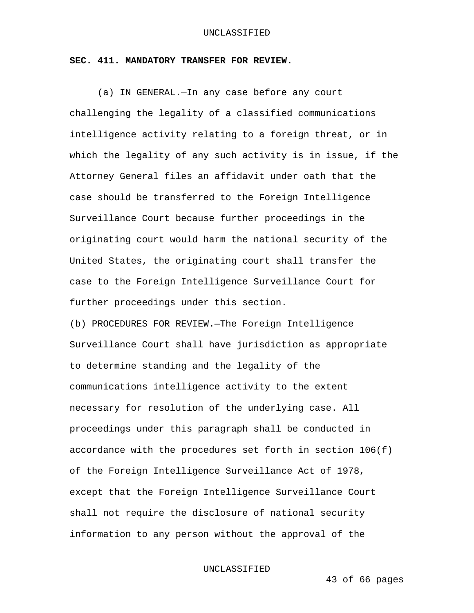## **SEC. 411. MANDATORY TRANSFER FOR REVIEW.**

(a) IN GENERAL.—In any case before any court challenging the legality of a classified communications intelligence activity relating to a foreign threat, or in which the legality of any such activity is in issue, if the Attorney General files an affidavit under oath that the case should be transferred to the Foreign Intelligence Surveillance Court because further proceedings in the originating court would harm the national security of the United States, the originating court shall transfer the case to the Foreign Intelligence Surveillance Court for further proceedings under this section.

(b) PROCEDURES FOR REVIEW.—The Foreign Intelligence Surveillance Court shall have jurisdiction as appropriate to determine standing and the legality of the communications intelligence activity to the extent necessary for resolution of the underlying case. All proceedings under this paragraph shall be conducted in accordance with the procedures set forth in section  $106(f)$ of the Foreign Intelligence Surveillance Act of 1978, except that the Foreign Intelligence Surveillance Court shall not require the disclosure of national security information to any person without the approval of the

UNCLASSIFIED

43 of 66 pages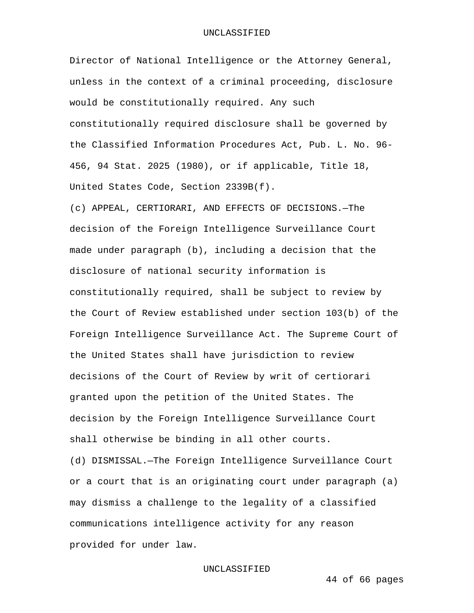Director of National Intelligence or the Attorney General, unless in the context of a criminal proceeding, disclosure would be constitutionally required. Any such constitutionally required disclosure shall be governed by the Classified Information Procedures Act, Pub. L. No. 96- 456, 94 Stat. 2025 (1980), or if applicable, Title 18, United States Code, Section 2339B(f).

(c) APPEAL, CERTIORARI, AND EFFECTS OF DECISIONS.—The decision of the Foreign Intelligence Surveillance Court made under paragraph (b), including a decision that the disclosure of national security information is constitutionally required, shall be subject to review by the Court of Review established under section 103(b) of the Foreign Intelligence Surveillance Act. The Supreme Court of the United States shall have jurisdiction to review decisions of the Court of Review by writ of certiorari granted upon the petition of the United States. The decision by the Foreign Intelligence Surveillance Court shall otherwise be binding in all other courts. (d) DISMISSAL.—The Foreign Intelligence Surveillance Court or a court that is an originating court under paragraph (a) may dismiss a challenge to the legality of a classified

communications intelligence activity for any reason provided for under law.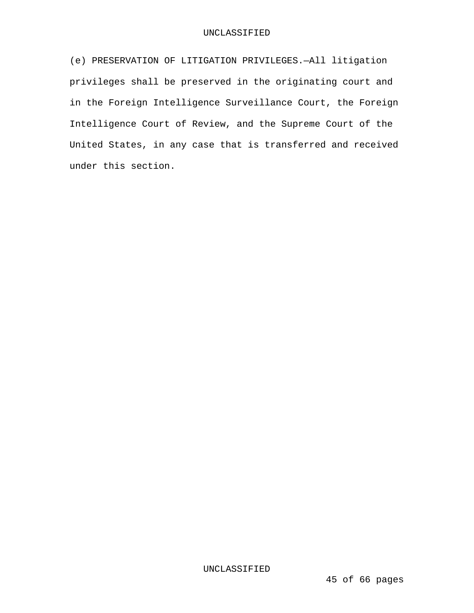(e) PRESERVATION OF LITIGATION PRIVILEGES.—All litigation privileges shall be preserved in the originating court and in the Foreign Intelligence Surveillance Court, the Foreign Intelligence Court of Review, and the Supreme Court of the United States, in any case that is transferred and received under this section.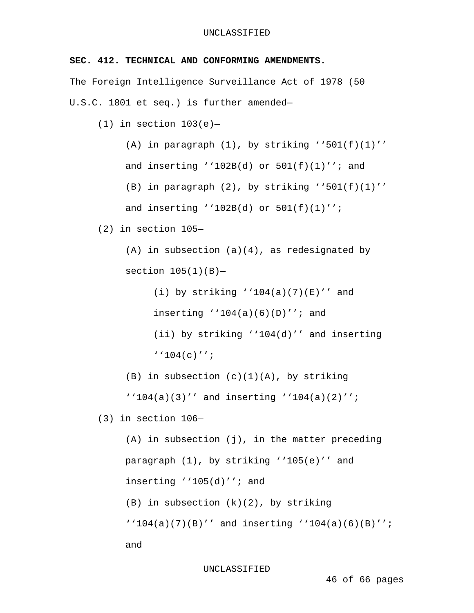# **SEC. 412. TECHNICAL AND CONFORMING AMENDMENTS.**

The Foreign Intelligence Surveillance Act of 1978 (50 U.S.C. 1801 et seq.) is further amended—

(1) in section  $103(e)$ -

(A) in paragraph  $(1)$ , by striking ''501 $(f)(1)'$ ' and inserting  $'102B(d)$  or  $501(f)(1)'$ ; and

(B) in paragraph  $(2)$ , by striking ''501(f)(1)'' and inserting ''102B(d) or 501(f)(1)'';

(2) in section 105—

 $(A)$  in subsection  $(a)(4)$ , as redesignated by section  $105(1)(B)$ -

> (i) by striking  $'104(a)(7)(E)'$  and inserting  $'104(a)(6)(D)''$ ; and (ii) by striking ''104(d)'' and inserting ''104(c)'';

 $(B)$  in subsection  $(c)(1)(A)$ , by striking

''104(a)(3)'' and inserting ''104(a)(2)'';

(3) in section 106—

(A) in subsection (j), in the matter preceding paragraph (1), by striking ''105(e)'' and inserting ''105(d)''; and (B) in subsection (k)(2), by striking ''104(a)(7)(B)'' and inserting ''104(a)(6)(B)''; and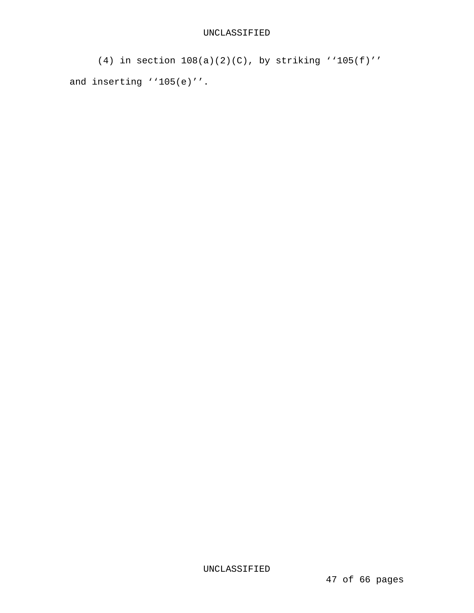```
(4) in section 108(a)(2)(C), by striking ''105(f)'' 
and inserting ''105(e)''.
```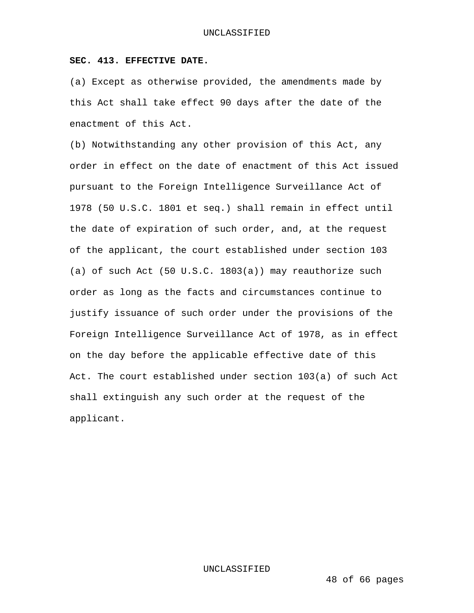## **SEC. 413. EFFECTIVE DATE.**

(a) Except as otherwise provided, the amendments made by this Act shall take effect 90 days after the date of the enactment of this Act.

(b) Notwithstanding any other provision of this Act, any order in effect on the date of enactment of this Act issued pursuant to the Foreign Intelligence Surveillance Act of 1978 (50 U.S.C. 1801 et seq.) shall remain in effect until the date of expiration of such order, and, at the request of the applicant, the court established under section 103 (a) of such Act (50 U.S.C. 1803(a)) may reauthorize such order as long as the facts and circumstances continue to justify issuance of such order under the provisions of the Foreign Intelligence Surveillance Act of 1978, as in effect on the day before the applicable effective date of this Act. The court established under section 103(a) of such Act shall extinguish any such order at the request of the applicant.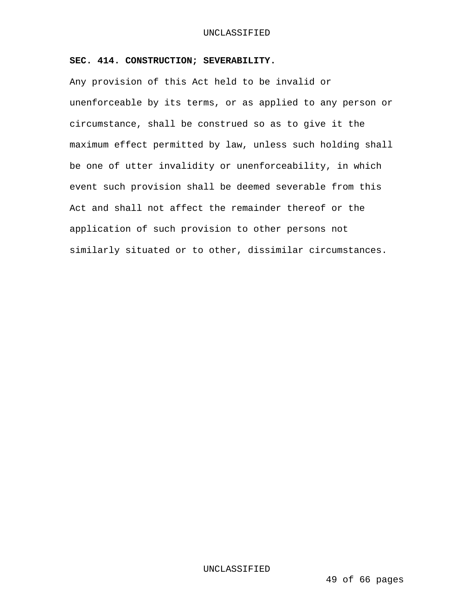# **SEC. 414. CONSTRUCTION; SEVERABILITY.**

Any provision of this Act held to be invalid or unenforceable by its terms, or as applied to any person or circumstance, shall be construed so as to give it the maximum effect permitted by law, unless such holding shall be one of utter invalidity or unenforceability, in which event such provision shall be deemed severable from this Act and shall not affect the remainder thereof or the application of such provision to other persons not similarly situated or to other, dissimilar circumstances.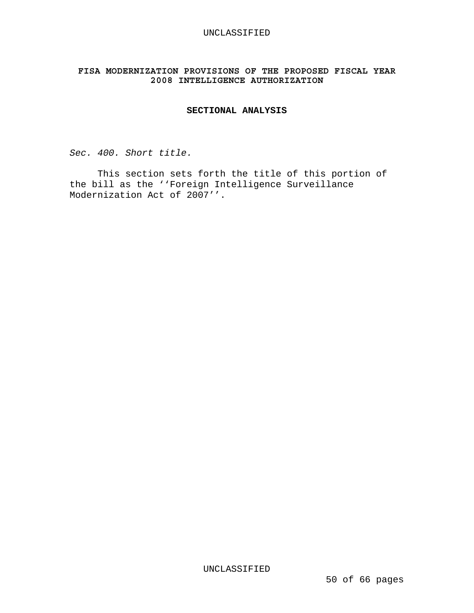# **FISA MODERNIZATION PROVISIONS OF THE PROPOSED FISCAL YEAR 2008 INTELLIGENCE AUTHORIZATION**

# **SECTIONAL ANALYSIS**

*Sec. 400. Short title.* 

 This section sets forth the title of this portion of the bill as the ''Foreign Intelligence Surveillance Modernization Act of 2007''.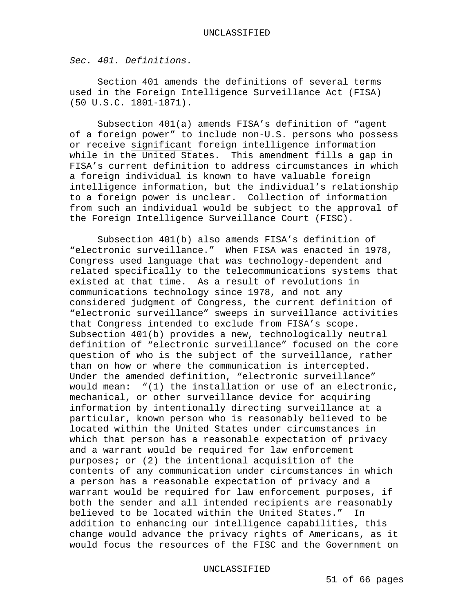*Sec. 401. Definitions.*

Section 401 amends the definitions of several terms used in the Foreign Intelligence Surveillance Act (FISA) (50 U.S.C. 1801-1871).

Subsection 401(a) amends FISA's definition of "agent of a foreign power" to include non-U.S. persons who possess or receive significant foreign intelligence information while in the United States. This amendment fills a gap in FISA's current definition to address circumstances in which a foreign individual is known to have valuable foreign intelligence information, but the individual's relationship to a foreign power is unclear. Collection of information from such an individual would be subject to the approval of the Foreign Intelligence Surveillance Court (FISC).

 Subsection 401(b) also amends FISA's definition of "electronic surveillance." When FISA was enacted in 1978, Congress used language that was technology-dependent and related specifically to the telecommunications systems that existed at that time. As a result of revolutions in communications technology since 1978, and not any considered judgment of Congress, the current definition of "electronic surveillance" sweeps in surveillance activities that Congress intended to exclude from FISA's scope. Subsection 401(b) provides a new, technologically neutral definition of "electronic surveillance" focused on the core question of who is the subject of the surveillance, rather than on how or where the communication is intercepted. Under the amended definition, "electronic surveillance" would mean: "(1) the installation or use of an electronic, mechanical, or other surveillance device for acquiring information by intentionally directing surveillance at a particular, known person who is reasonably believed to be located within the United States under circumstances in which that person has a reasonable expectation of privacy and a warrant would be required for law enforcement purposes; or (2) the intentional acquisition of the contents of any communication under circumstances in which a person has a reasonable expectation of privacy and a warrant would be required for law enforcement purposes, if both the sender and all intended recipients are reasonably believed to be located within the United States." In addition to enhancing our intelligence capabilities, this change would advance the privacy rights of Americans, as it would focus the resources of the FISC and the Government on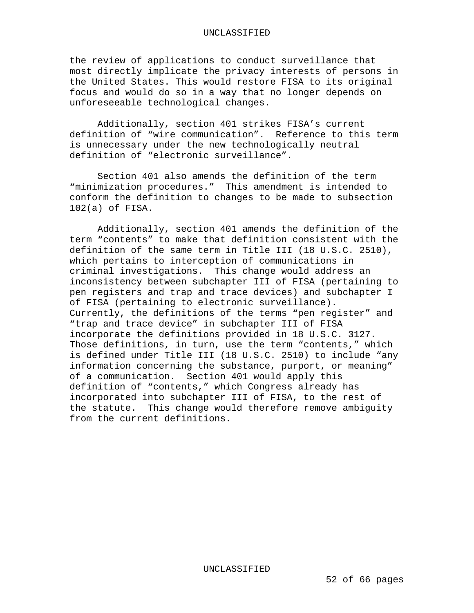the review of applications to conduct surveillance that most directly implicate the privacy interests of persons in the United States. This would restore FISA to its original focus and would do so in a way that no longer depends on unforeseeable technological changes.

Additionally, section 401 strikes FISA's current definition of "wire communication". Reference to this term is unnecessary under the new technologically neutral definition of "electronic surveillance".

Section 401 also amends the definition of the term "minimization procedures." This amendment is intended to conform the definition to changes to be made to subsection 102(a) of FISA.

Additionally, section 401 amends the definition of the term "contents" to make that definition consistent with the definition of the same term in Title III (18 U.S.C. 2510), which pertains to interception of communications in criminal investigations. This change would address an inconsistency between subchapter III of FISA (pertaining to pen registers and trap and trace devices) and subchapter I of FISA (pertaining to electronic surveillance). Currently, the definitions of the terms "pen register" and "trap and trace device" in subchapter III of FISA incorporate the definitions provided in 18 U.S.C. 3127. Those definitions, in turn, use the term "contents," which is defined under Title III (18 U.S.C. 2510) to include "any information concerning the substance, purport, or meaning" of a communication. Section 401 would apply this definition of "contents," which Congress already has incorporated into subchapter III of FISA, to the rest of the statute. This change would therefore remove ambiguity from the current definitions.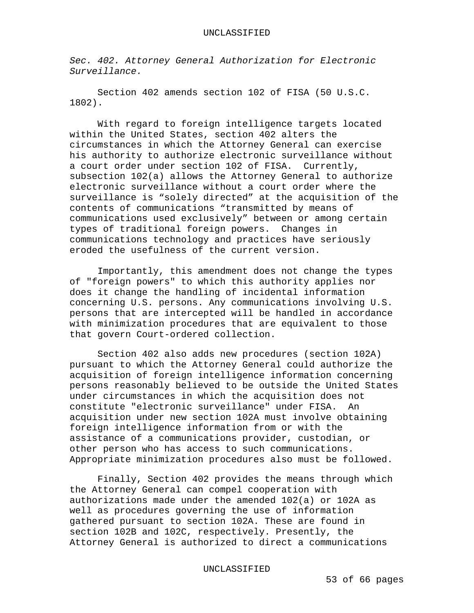*Sec. 402. Attorney General Authorization for Electronic Surveillance.* 

 Section 402 amends section 102 of FISA (50 U.S.C. 1802).

 With regard to foreign intelligence targets located within the United States, section 402 alters the circumstances in which the Attorney General can exercise his authority to authorize electronic surveillance without a court order under section 102 of FISA. Currently, subsection 102(a) allows the Attorney General to authorize electronic surveillance without a court order where the surveillance is "solely directed" at the acquisition of the contents of communications "transmitted by means of communications used exclusively" between or among certain types of traditional foreign powers. Changes in communications technology and practices have seriously eroded the usefulness of the current version.

 Importantly, this amendment does not change the types of "foreign powers" to which this authority applies nor does it change the handling of incidental information concerning U.S. persons. Any communications involving U.S. persons that are intercepted will be handled in accordance with minimization procedures that are equivalent to those that govern Court-ordered collection.

Section 402 also adds new procedures (section 102A) pursuant to which the Attorney General could authorize the acquisition of foreign intelligence information concerning persons reasonably believed to be outside the United States under circumstances in which the acquisition does not constitute "electronic surveillance" under FISA. An acquisition under new section 102A must involve obtaining foreign intelligence information from or with the assistance of a communications provider, custodian, or other person who has access to such communications. Appropriate minimization procedures also must be followed.

Finally, Section 402 provides the means through which the Attorney General can compel cooperation with authorizations made under the amended 102(a) or 102A as well as procedures governing the use of information gathered pursuant to section 102A. These are found in section 102B and 102C, respectively. Presently, the Attorney General is authorized to direct a communications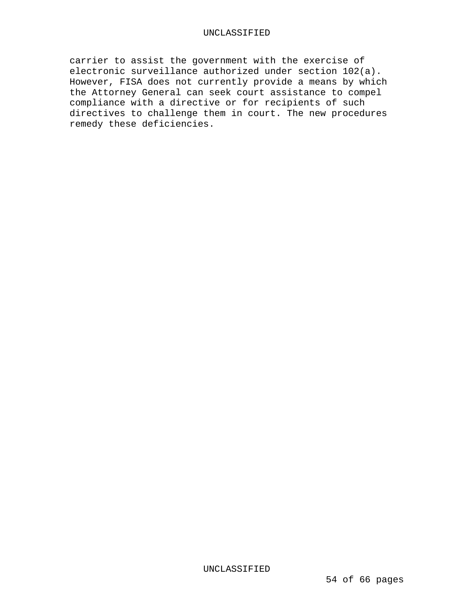carrier to assist the government with the exercise of electronic surveillance authorized under section 102(a). However, FISA does not currently provide a means by which the Attorney General can seek court assistance to compel compliance with a directive or for recipients of such directives to challenge them in court. The new procedures remedy these deficiencies.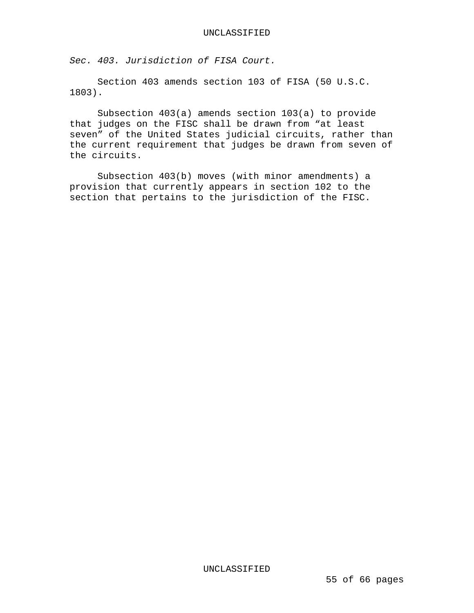*Sec. 403. Jurisdiction of FISA Court.* 

 Section 403 amends section 103 of FISA (50 U.S.C. 1803).

Subsection 403(a) amends section 103(a) to provide that judges on the FISC shall be drawn from "at least seven" of the United States judicial circuits, rather than the current requirement that judges be drawn from seven of the circuits.

 Subsection 403(b) moves (with minor amendments) a provision that currently appears in section 102 to the section that pertains to the jurisdiction of the FISC.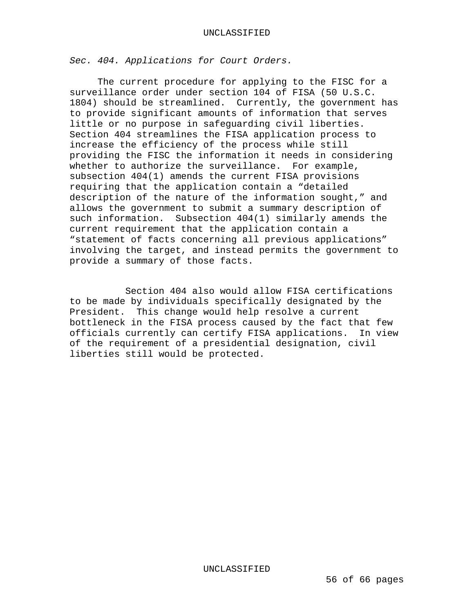*Sec. 404. Applications for Court Orders.* 

 The current procedure for applying to the FISC for a surveillance order under section 104 of FISA (50 U.S.C. 1804) should be streamlined. Currently, the government has to provide significant amounts of information that serves little or no purpose in safeguarding civil liberties. Section 404 streamlines the FISA application process to increase the efficiency of the process while still providing the FISC the information it needs in considering whether to authorize the surveillance. For example, subsection 404(1) amends the current FISA provisions requiring that the application contain a "detailed description of the nature of the information sought," and allows the government to submit a summary description of such information. Subsection 404(1) similarly amends the current requirement that the application contain a "statement of facts concerning all previous applications" involving the target, and instead permits the government to provide a summary of those facts.

 Section 404 also would allow FISA certifications to be made by individuals specifically designated by the President. This change would help resolve a current bottleneck in the FISA process caused by the fact that few officials currently can certify FISA applications. In view of the requirement of a presidential designation, civil liberties still would be protected.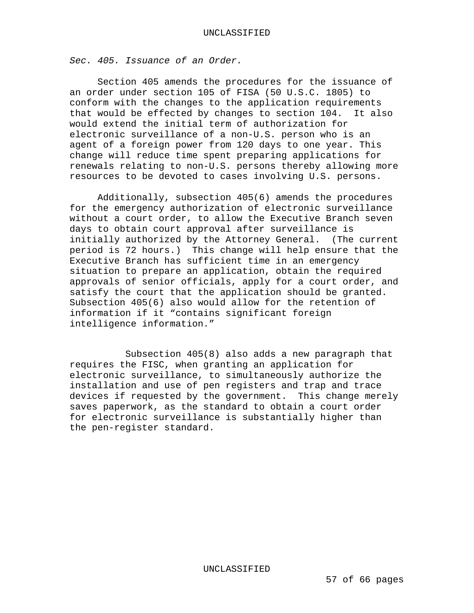*Sec. 405. Issuance of an Order.* 

 Section 405 amends the procedures for the issuance of an order under section 105 of FISA (50 U.S.C. 1805) to conform with the changes to the application requirements that would be effected by changes to section 104. It also would extend the initial term of authorization for electronic surveillance of a non-U.S. person who is an agent of a foreign power from 120 days to one year. This change will reduce time spent preparing applications for renewals relating to non-U.S. persons thereby allowing more resources to be devoted to cases involving U.S. persons.

 Additionally, subsection 405(6) amends the procedures for the emergency authorization of electronic surveillance without a court order, to allow the Executive Branch seven days to obtain court approval after surveillance is initially authorized by the Attorney General. (The current period is 72 hours.) This change will help ensure that the Executive Branch has sufficient time in an emergency situation to prepare an application, obtain the required approvals of senior officials, apply for a court order, and satisfy the court that the application should be granted. Subsection 405(6) also would allow for the retention of information if it "contains significant foreign intelligence information."

 Subsection 405(8) also adds a new paragraph that requires the FISC, when granting an application for electronic surveillance, to simultaneously authorize the installation and use of pen registers and trap and trace devices if requested by the government. This change merely saves paperwork, as the standard to obtain a court order for electronic surveillance is substantially higher than the pen-register standard.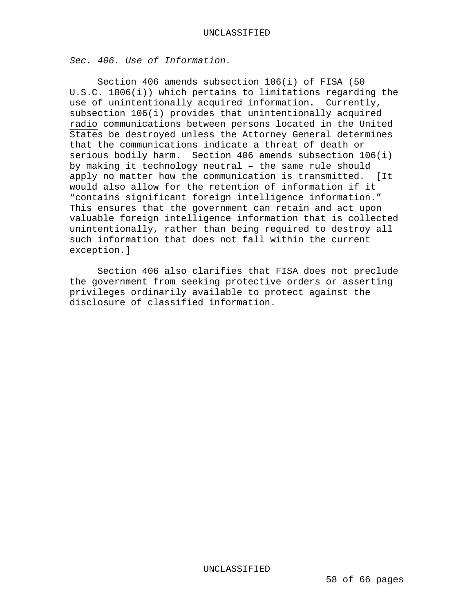*Sec. 406. Use of Information.* 

 Section 406 amends subsection 106(i) of FISA (50 U.S.C. 1806(i)) which pertains to limitations regarding the use of unintentionally acquired information. Currently, subsection 106(i) provides that unintentionally acquired radio communications between persons located in the United States be destroyed unless the Attorney General determines that the communications indicate a threat of death or serious bodily harm. Section 406 amends subsection 106(i) by making it technology neutral – the same rule should apply no matter how the communication is transmitted. [It would also allow for the retention of information if it "contains significant foreign intelligence information." This ensures that the government can retain and act upon valuable foreign intelligence information that is collected unintentionally, rather than being required to destroy all such information that does not fall within the current exception.]

 Section 406 also clarifies that FISA does not preclude the government from seeking protective orders or asserting privileges ordinarily available to protect against the disclosure of classified information.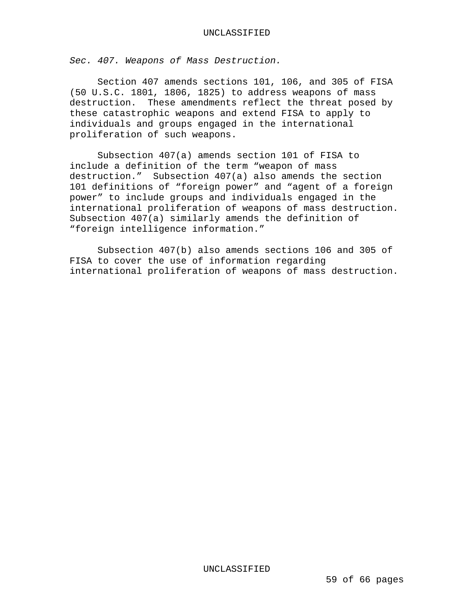*Sec. 407. Weapons of Mass Destruction.*

 Section 407 amends sections 101, 106, and 305 of FISA (50 U.S.C. 1801, 1806, 1825) to address weapons of mass destruction. These amendments reflect the threat posed by these catastrophic weapons and extend FISA to apply to individuals and groups engaged in the international proliferation of such weapons.

 Subsection 407(a) amends section 101 of FISA to include a definition of the term "weapon of mass destruction." Subsection 407(a) also amends the section 101 definitions of "foreign power" and "agent of a foreign power" to include groups and individuals engaged in the international proliferation of weapons of mass destruction. Subsection 407(a) similarly amends the definition of "foreign intelligence information."

 Subsection 407(b) also amends sections 106 and 305 of FISA to cover the use of information regarding international proliferation of weapons of mass destruction.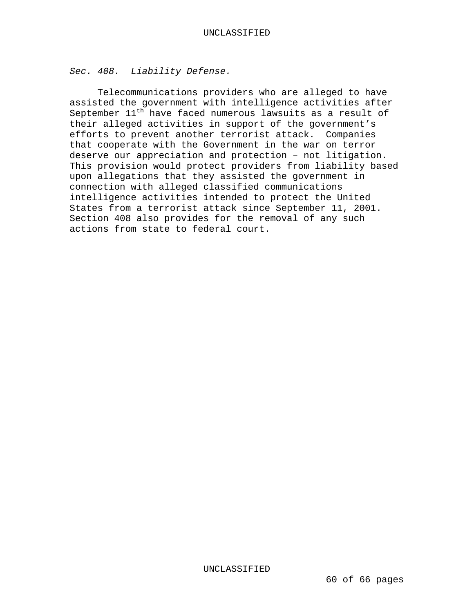*Sec. 408. Liability Defense.* 

 Telecommunications providers who are alleged to have assisted the government with intelligence activities after September  $11^{th}$  have faced numerous lawsuits as a result of their alleged activities in support of the government's efforts to prevent another terrorist attack. Companies that cooperate with the Government in the war on terror deserve our appreciation and protection – not litigation. This provision would protect providers from liability based upon allegations that they assisted the government in connection with alleged classified communications intelligence activities intended to protect the United States from a terrorist attack since September 11, 2001. Section 408 also provides for the removal of any such actions from state to federal court.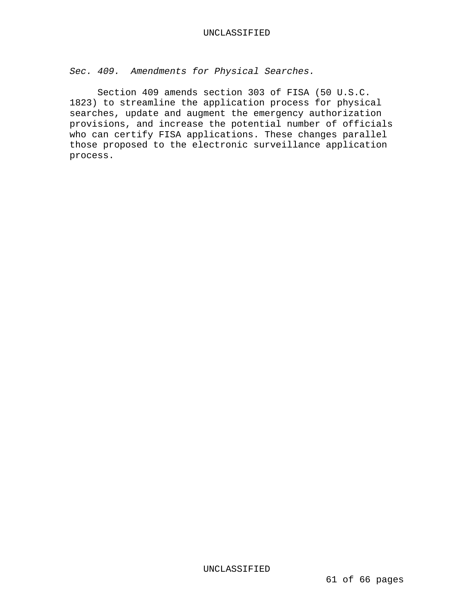*Sec. 409. Amendments for Physical Searches.* 

 Section 409 amends section 303 of FISA (50 U.S.C. 1823) to streamline the application process for physical searches, update and augment the emergency authorization provisions, and increase the potential number of officials who can certify FISA applications. These changes parallel those proposed to the electronic surveillance application process.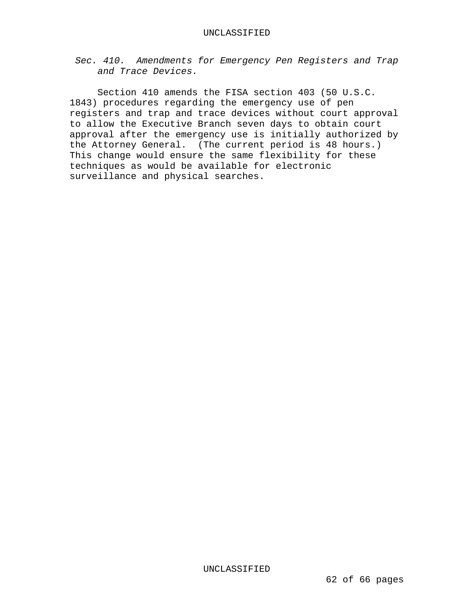*Sec. 410. Amendments for Emergency Pen Registers and Trap and Trace Devices.* 

 Section 410 amends the FISA section 403 (50 U.S.C. 1843) procedures regarding the emergency use of pen registers and trap and trace devices without court approval to allow the Executive Branch seven days to obtain court approval after the emergency use is initially authorized by the Attorney General. (The current period is 48 hours.) This change would ensure the same flexibility for these techniques as would be available for electronic surveillance and physical searches.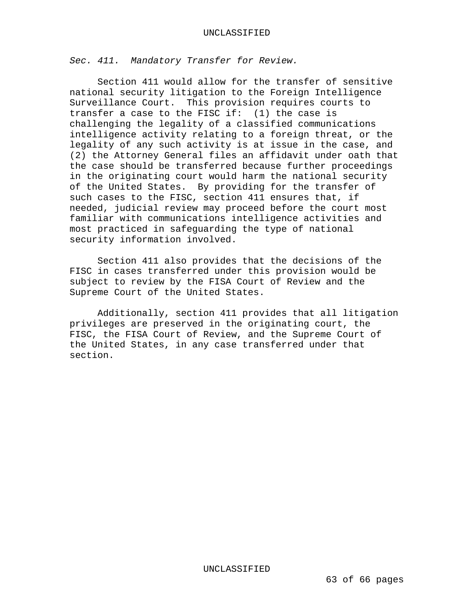*Sec. 411. Mandatory Transfer for Review.* 

 Section 411 would allow for the transfer of sensitive national security litigation to the Foreign Intelligence Surveillance Court. This provision requires courts to transfer a case to the FISC if: (1) the case is challenging the legality of a classified communications intelligence activity relating to a foreign threat, or the legality of any such activity is at issue in the case, and (2) the Attorney General files an affidavit under oath that the case should be transferred because further proceedings in the originating court would harm the national security of the United States. By providing for the transfer of such cases to the FISC, section 411 ensures that, if needed, judicial review may proceed before the court most familiar with communications intelligence activities and most practiced in safeguarding the type of national security information involved.

 Section 411 also provides that the decisions of the FISC in cases transferred under this provision would be subject to review by the FISA Court of Review and the Supreme Court of the United States.

 Additionally, section 411 provides that all litigation privileges are preserved in the originating court, the FISC, the FISA Court of Review, and the Supreme Court of the United States, in any case transferred under that section.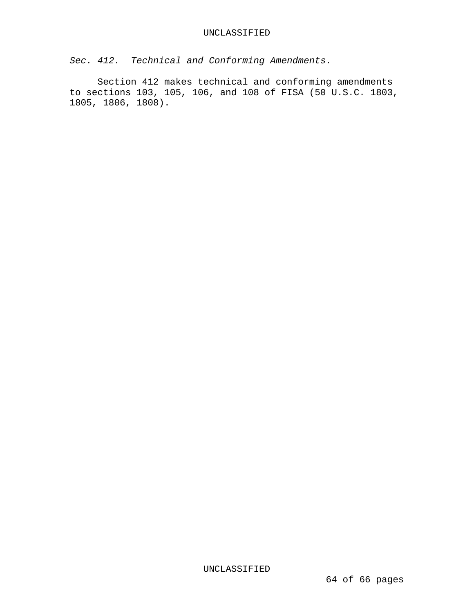*Sec. 412. Technical and Conforming Amendments.* 

 Section 412 makes technical and conforming amendments to sections 103, 105, 106, and 108 of FISA (50 U.S.C. 1803, 1805, 1806, 1808).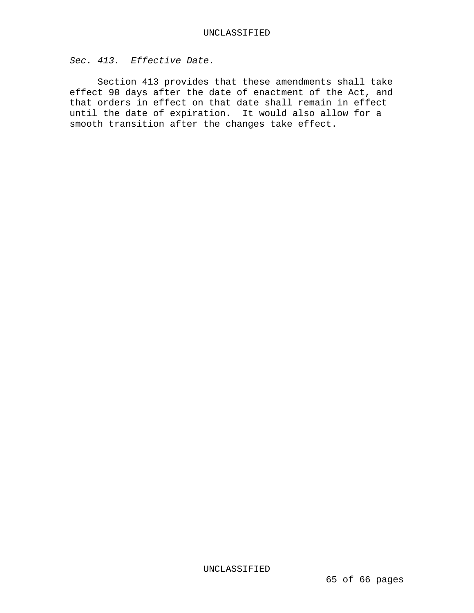*Sec. 413. Effective Date.* 

 Section 413 provides that these amendments shall take effect 90 days after the date of enactment of the Act, and that orders in effect on that date shall remain in effect until the date of expiration. It would also allow for a smooth transition after the changes take effect.